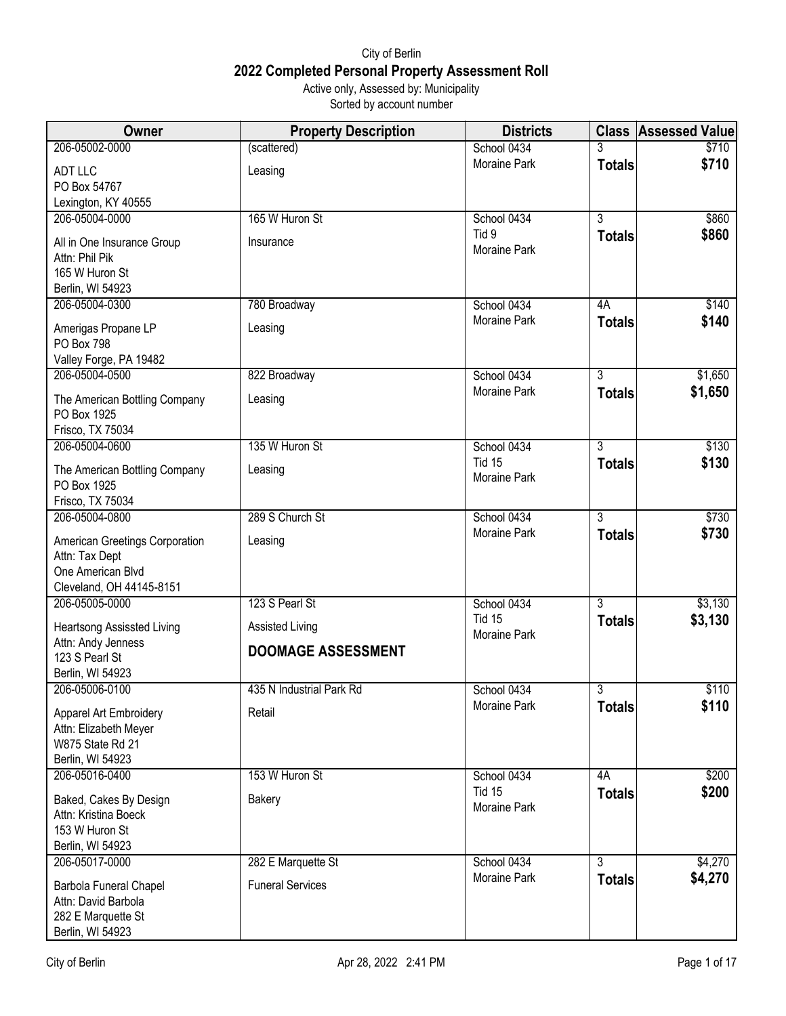## City of Berlin **2022 Completed Personal Property Assessment Roll** Active only, Assessed by: Municipality

Sorted by account number

| Owner                                          | <b>Property Description</b> | <b>Districts</b>      |                | <b>Class Assessed Value</b> |
|------------------------------------------------|-----------------------------|-----------------------|----------------|-----------------------------|
| 206-05002-0000                                 | (scattered)                 | School 0434           | 3              | \$710                       |
| <b>ADT LLC</b>                                 | Leasing                     | Moraine Park          | <b>Totals</b>  | \$710                       |
| PO Box 54767                                   |                             |                       |                |                             |
| Lexington, KY 40555                            |                             |                       |                |                             |
| 206-05004-0000                                 | 165 W Huron St              | School 0434           | $\overline{3}$ | \$860                       |
| All in One Insurance Group<br>Attn: Phil Pik   | Insurance                   | Tid 9<br>Moraine Park | <b>Totals</b>  | \$860                       |
| 165 W Huron St                                 |                             |                       |                |                             |
| Berlin, WI 54923                               |                             |                       |                |                             |
| 206-05004-0300                                 | 780 Broadway                | School 0434           | 4A             | \$140                       |
| Amerigas Propane LP<br><b>PO Box 798</b>       | Leasing                     | Moraine Park          | <b>Totals</b>  | \$140                       |
| Valley Forge, PA 19482                         |                             |                       |                |                             |
| 206-05004-0500                                 | 822 Broadway                | School 0434           | $\overline{3}$ | \$1,650                     |
| The American Bottling Company<br>PO Box 1925   | Leasing                     | Moraine Park          | <b>Totals</b>  | \$1,650                     |
| Frisco, TX 75034                               |                             |                       |                |                             |
| 206-05004-0600                                 | 135 W Huron St              | School 0434           | $\overline{3}$ | \$130                       |
| The American Bottling Company                  | Leasing                     | <b>Tid 15</b>         | <b>Totals</b>  | \$130                       |
| PO Box 1925                                    |                             | Moraine Park          |                |                             |
| Frisco, TX 75034                               |                             |                       |                |                             |
| 206-05004-0800                                 | 289 S Church St             | School 0434           | $\overline{3}$ | \$730                       |
| American Greetings Corporation                 | Leasing                     | Moraine Park          | <b>Totals</b>  | \$730                       |
| Attn: Tax Dept<br>One American Blvd            |                             |                       |                |                             |
| Cleveland, OH 44145-8151                       |                             |                       |                |                             |
| 206-05005-0000                                 | 123 S Pearl St              | School 0434           | $\overline{3}$ | \$3,130                     |
| <b>Heartsong Assissted Living</b>              | <b>Assisted Living</b>      | <b>Tid 15</b>         | <b>Totals</b>  | \$3,130                     |
| Attn: Andy Jenness                             |                             | Moraine Park          |                |                             |
| 123 S Pearl St                                 | <b>DOOMAGE ASSESSMENT</b>   |                       |                |                             |
| Berlin, WI 54923                               |                             |                       |                |                             |
| 206-05006-0100                                 | 435 N Industrial Park Rd    | School 0434           | $\overline{3}$ | \$110                       |
| <b>Apparel Art Embroidery</b>                  | Retail                      | Moraine Park          | <b>Totals</b>  | \$110                       |
| Attn: Elizabeth Meyer                          |                             |                       |                |                             |
| W875 State Rd 21<br>Berlin, WI 54923           |                             |                       |                |                             |
| 206-05016-0400                                 | 153 W Huron St              | School 0434           | 4A             | \$200                       |
|                                                | Bakery                      | <b>Tid 15</b>         | <b>Totals</b>  | \$200                       |
| Baked, Cakes By Design<br>Attn: Kristina Boeck |                             | Moraine Park          |                |                             |
| 153 W Huron St                                 |                             |                       |                |                             |
| Berlin, WI 54923                               |                             |                       |                |                             |
| 206-05017-0000                                 | 282 E Marquette St          | School 0434           | $\overline{3}$ | \$4,270                     |
| Barbola Funeral Chapel                         | <b>Funeral Services</b>     | Moraine Park          | <b>Totals</b>  | \$4,270                     |
| Attn: David Barbola                            |                             |                       |                |                             |
| 282 E Marquette St                             |                             |                       |                |                             |
| Berlin, WI 54923                               |                             |                       |                |                             |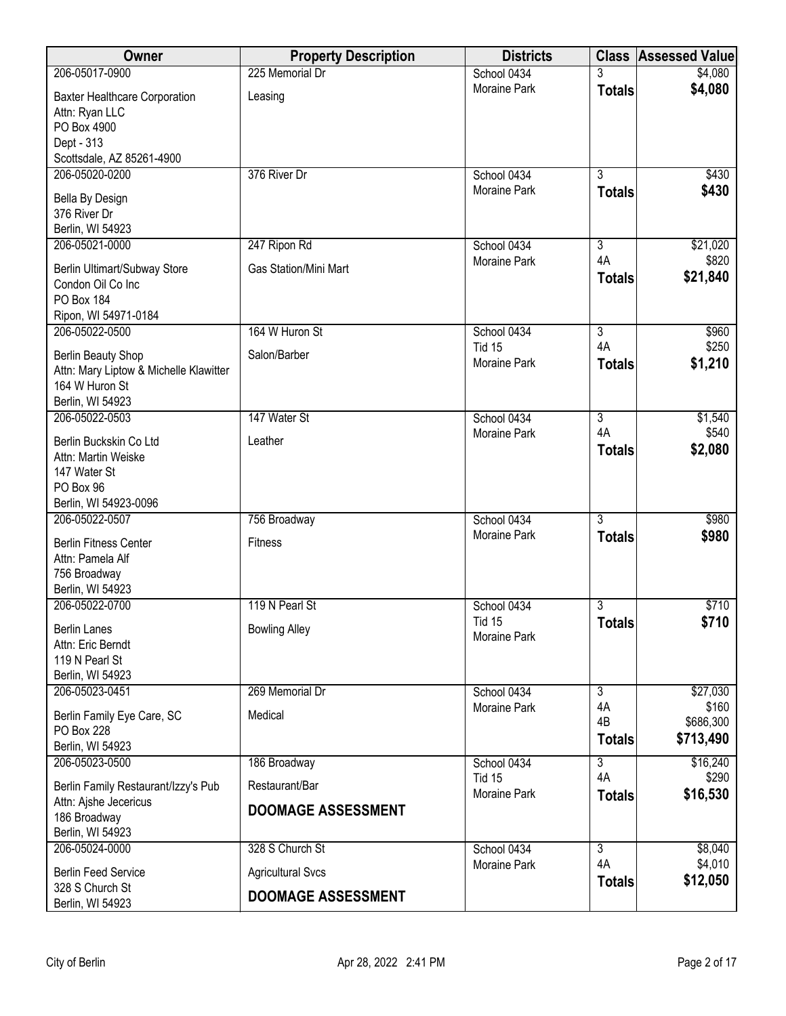| Owner                                    | <b>Property Description</b>  | <b>Districts</b>                   |                     | <b>Class Assessed Value</b> |
|------------------------------------------|------------------------------|------------------------------------|---------------------|-----------------------------|
| 206-05017-0900                           | 225 Memorial Dr              | School 0434                        |                     | \$4,080                     |
| <b>Baxter Healthcare Corporation</b>     | Leasing                      | Moraine Park                       | <b>Totals</b>       | \$4,080                     |
| Attn: Ryan LLC                           |                              |                                    |                     |                             |
| PO Box 4900                              |                              |                                    |                     |                             |
| Dept - 313<br>Scottsdale, AZ 85261-4900  |                              |                                    |                     |                             |
| 206-05020-0200                           | 376 River Dr                 | School 0434                        | $\overline{3}$      | \$430                       |
|                                          |                              | Moraine Park                       | <b>Totals</b>       | \$430                       |
| Bella By Design<br>376 River Dr          |                              |                                    |                     |                             |
| Berlin, WI 54923                         |                              |                                    |                     |                             |
| 206-05021-0000                           | 247 Ripon Rd                 | School 0434                        | 3                   | \$21,020                    |
| Berlin Ultimart/Subway Store             | <b>Gas Station/Mini Mart</b> | Moraine Park                       | 4A                  | \$820                       |
| Condon Oil Co Inc                        |                              |                                    | <b>Totals</b>       | \$21,840                    |
| PO Box 184                               |                              |                                    |                     |                             |
| Ripon, WI 54971-0184                     |                              |                                    |                     |                             |
| 206-05022-0500                           | 164 W Huron St               | School 0434                        | $\overline{3}$      | \$960                       |
| Berlin Beauty Shop                       | Salon/Barber                 | <b>Tid 15</b>                      | 4A                  | \$250                       |
| Attn: Mary Liptow & Michelle Klawitter   |                              | <b>Moraine Park</b>                | <b>Totals</b>       | \$1,210                     |
| 164 W Huron St                           |                              |                                    |                     |                             |
| Berlin, WI 54923                         | 147 Water St                 |                                    |                     |                             |
| 206-05022-0503                           |                              | School 0434<br><b>Moraine Park</b> | 3<br>4A             | \$1,540<br>\$540            |
| Berlin Buckskin Co Ltd                   | Leather                      |                                    | <b>Totals</b>       | \$2,080                     |
| Attn: Martin Weiske                      |                              |                                    |                     |                             |
| 147 Water St<br>PO Box 96                |                              |                                    |                     |                             |
| Berlin, WI 54923-0096                    |                              |                                    |                     |                             |
| 206-05022-0507                           | 756 Broadway                 | School 0434                        | $\overline{3}$      | \$980                       |
| <b>Berlin Fitness Center</b>             | <b>Fitness</b>               | Moraine Park                       | <b>Totals</b>       | \$980                       |
| Attn: Pamela Alf                         |                              |                                    |                     |                             |
| 756 Broadway                             |                              |                                    |                     |                             |
| Berlin, WI 54923                         |                              |                                    |                     |                             |
| 206-05022-0700                           | 119 N Pearl St               | School 0434<br><b>Tid 15</b>       | 3                   | \$710                       |
| <b>Berlin Lanes</b>                      | <b>Bowling Alley</b>         | Moraine Park                       | <b>Totals</b>       | \$710                       |
| Attn: Eric Berndt                        |                              |                                    |                     |                             |
| 119 N Pearl St<br>Berlin, WI 54923       |                              |                                    |                     |                             |
| 206-05023-0451                           | 269 Memorial Dr              | School 0434                        | $\overline{3}$      | \$27,030                    |
|                                          |                              | Moraine Park                       | 4A                  | \$160                       |
| Berlin Family Eye Care, SC<br>PO Box 228 | Medical                      |                                    | 4B                  | \$686,300                   |
| Berlin, WI 54923                         |                              |                                    | <b>Totals</b>       | \$713,490                   |
| 206-05023-0500                           | 186 Broadway                 | School 0434                        | 3                   | \$16,240                    |
| Berlin Family Restaurant/Izzy's Pub      | Restaurant/Bar               | <b>Tid 15</b>                      | 4A                  | \$290                       |
| Attn: Ajshe Jecericus                    |                              | Moraine Park                       | <b>Totals</b>       | \$16,530                    |
| 186 Broadway                             | <b>DOOMAGE ASSESSMENT</b>    |                                    |                     |                             |
| Berlin, WI 54923                         |                              |                                    |                     |                             |
| 206-05024-0000                           | 328 S Church St              | School 0434                        | $\overline{3}$      | \$8,040                     |
| <b>Berlin Feed Service</b>               | <b>Agricultural Svcs</b>     | Moraine Park                       | 4A<br><b>Totals</b> | \$4,010<br>\$12,050         |
| 328 S Church St<br>Berlin, WI 54923      | <b>DOOMAGE ASSESSMENT</b>    |                                    |                     |                             |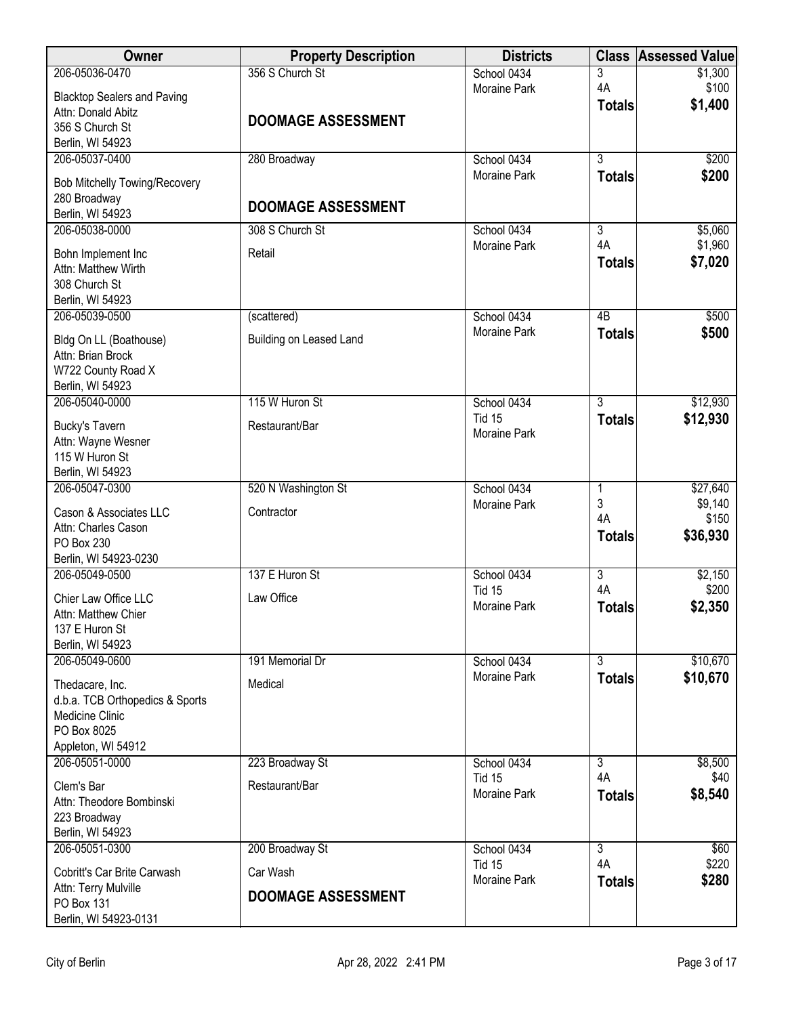| Owner                                       | <b>Property Description</b> | <b>Districts</b>              | <b>Class</b>         | <b>Assessed Value</b> |
|---------------------------------------------|-----------------------------|-------------------------------|----------------------|-----------------------|
| 206-05036-0470                              | 356 S Church St             | School 0434                   | 3                    | \$1,300               |
| <b>Blacktop Sealers and Paving</b>          |                             | <b>Moraine Park</b>           | 4A                   | \$100<br>\$1,400      |
| Attn: Donald Abitz                          | <b>DOOMAGE ASSESSMENT</b>   |                               | <b>Totals</b>        |                       |
| 356 S Church St                             |                             |                               |                      |                       |
| Berlin, WI 54923<br>206-05037-0400          | 280 Broadway                | School 0434                   | $\overline{3}$       | \$200                 |
|                                             |                             | Moraine Park                  | <b>Totals</b>        | \$200                 |
| <b>Bob Mitchelly Towing/Recovery</b>        |                             |                               |                      |                       |
| 280 Broadway                                | <b>DOOMAGE ASSESSMENT</b>   |                               |                      |                       |
| Berlin, WI 54923<br>206-05038-0000          | 308 S Church St             | School 0434                   | $\overline{3}$       | \$5,060               |
|                                             |                             | Moraine Park                  | 4A                   | \$1,960               |
| Bohn Implement Inc                          | Retail                      |                               | <b>Totals</b>        | \$7,020               |
| Attn: Matthew Wirth<br>308 Church St        |                             |                               |                      |                       |
| Berlin, WI 54923                            |                             |                               |                      |                       |
| 206-05039-0500                              | (scattered)                 | School 0434                   | $\overline{AB}$      | \$500                 |
|                                             |                             | Moraine Park                  | <b>Totals</b>        | \$500                 |
| Bldg On LL (Boathouse)<br>Attn: Brian Brock | Building on Leased Land     |                               |                      |                       |
| W722 County Road X                          |                             |                               |                      |                       |
| Berlin, WI 54923                            |                             |                               |                      |                       |
| 206-05040-0000                              | 115 W Huron St              | School 0434                   | 3                    | \$12,930              |
| <b>Bucky's Tavern</b>                       | Restaurant/Bar              | <b>Tid 15</b>                 | <b>Totals</b>        | \$12,930              |
| Attn: Wayne Wesner                          |                             | <b>Moraine Park</b>           |                      |                       |
| 115 W Huron St                              |                             |                               |                      |                       |
| Berlin, WI 54923                            |                             |                               |                      |                       |
| 206-05047-0300                              | 520 N Washington St         | School 0434                   | 1                    | \$27,640              |
| Cason & Associates LLC                      | Contractor                  | Moraine Park                  | 3<br>4A              | \$9,140<br>\$150      |
| Attn: Charles Cason                         |                             |                               | <b>Totals</b>        | \$36,930              |
| PO Box 230                                  |                             |                               |                      |                       |
| Berlin, WI 54923-0230<br>206-05049-0500     | 137 E Huron St              | School 0434                   | $\overline{3}$       | \$2,150               |
|                                             |                             | Tid 15                        | 4A                   | \$200                 |
| Chier Law Office LLC                        | Law Office                  | Moraine Park                  | <b>Totals</b>        | \$2,350               |
| Attn: Matthew Chier<br>137 E Huron St       |                             |                               |                      |                       |
| Berlin, WI 54923                            |                             |                               |                      |                       |
| 206-05049-0600                              | 191 Memorial Dr             | School 0434                   | $\overline{3}$       | \$10,670              |
| Thedacare, Inc.                             | Medical                     | Moraine Park                  | <b>Totals</b>        | \$10,670              |
| d.b.a. TCB Orthopedics & Sports             |                             |                               |                      |                       |
| Medicine Clinic                             |                             |                               |                      |                       |
| PO Box 8025                                 |                             |                               |                      |                       |
| Appleton, WI 54912                          |                             |                               |                      |                       |
| 206-05051-0000                              | 223 Broadway St             | School 0434                   | $\overline{3}$       | \$8,500               |
| Clem's Bar                                  | Restaurant/Bar              | Tid 15<br><b>Moraine Park</b> | 4A                   | \$40                  |
| Attn: Theodore Bombinski                    |                             |                               | <b>Totals</b>        | \$8,540               |
| 223 Broadway                                |                             |                               |                      |                       |
| Berlin, WI 54923                            |                             |                               |                      |                       |
| 206-05051-0300                              | 200 Broadway St             | School 0434<br><b>Tid 15</b>  | $\overline{3}$<br>4A | \$60<br>\$220         |
| Cobritt's Car Brite Carwash                 | Car Wash                    | <b>Moraine Park</b>           | <b>Totals</b>        | \$280                 |
| Attn: Terry Mulville<br>PO Box 131          | <b>DOOMAGE ASSESSMENT</b>   |                               |                      |                       |
| Berlin, WI 54923-0131                       |                             |                               |                      |                       |
|                                             |                             |                               |                      |                       |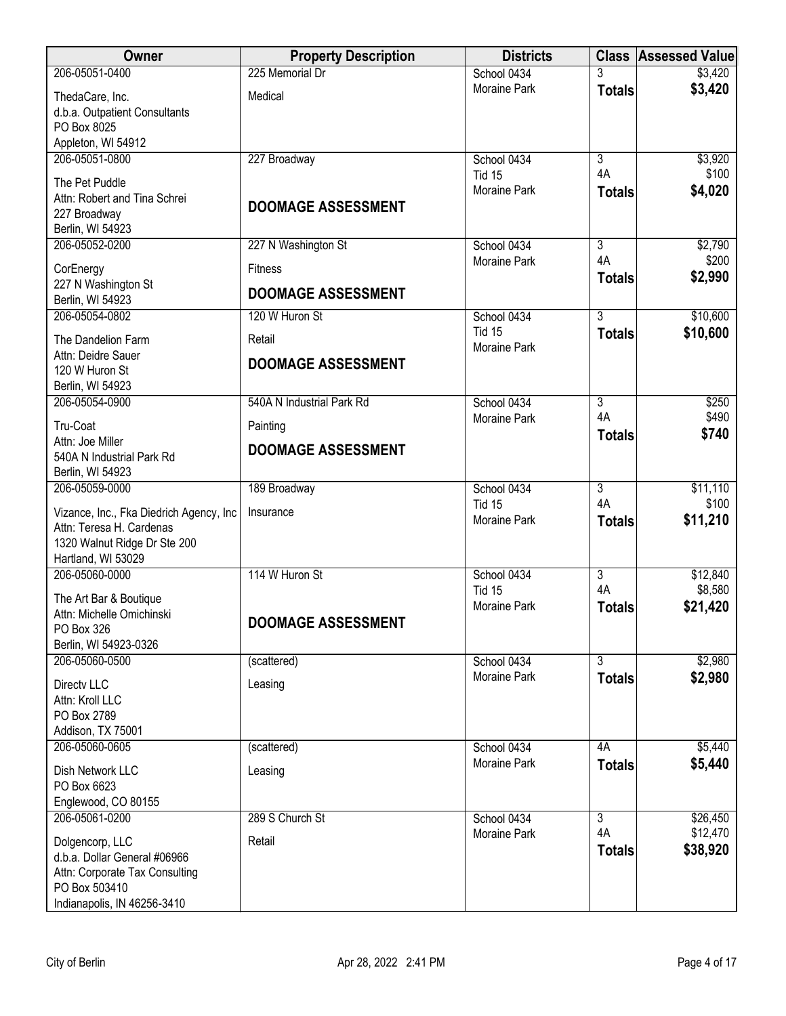| 206-05051-0400<br>225 Memorial Dr<br>School 0434<br>\$3,420<br>\$3,420<br><b>Moraine Park</b><br><b>Totals</b><br>Medical<br>ThedaCare, Inc.<br>d.b.a. Outpatient Consultants<br>PO Box 8025<br>Appleton, WI 54912<br>206-05051-0800<br>227 Broadway<br>School 0434<br>$\overline{3}$<br>\$3,920<br>4A<br>\$100<br>Tid 15<br>The Pet Puddle<br>\$4,020<br><b>Moraine Park</b><br><b>Totals</b><br>Attn: Robert and Tina Schrei<br><b>DOOMAGE ASSESSMENT</b><br>227 Broadway<br>Berlin, WI 54923<br>206-05052-0200<br>227 N Washington St<br>School 0434<br>3<br>\$2,790<br>4A<br>\$200<br>Moraine Park<br><b>Fitness</b><br>CorEnergy<br>\$2,990<br><b>Totals</b><br>227 N Washington St<br><b>DOOMAGE ASSESSMENT</b><br>Berlin, WI 54923<br>$\overline{3}$<br>206-05054-0802<br>120 W Huron St<br>\$10,600<br>School 0434<br><b>Tid 15</b><br>\$10,600<br><b>Totals</b><br>The Dandelion Farm<br>Retail<br><b>Moraine Park</b><br>Attn: Deidre Sauer<br><b>DOOMAGE ASSESSMENT</b><br>120 W Huron St<br>Berlin, WI 54923<br>206-05054-0900<br>540A N Industrial Park Rd<br>School 0434<br>3<br>\$250<br>4A<br>\$490<br><b>Moraine Park</b><br>Tru-Coat<br>Painting<br>\$740<br><b>Totals</b><br>Attn: Joe Miller<br><b>DOOMAGE ASSESSMENT</b><br>540A N Industrial Park Rd<br>Berlin, WI 54923<br>$\overline{3}$<br>\$11,110<br>206-05059-0000<br>189 Broadway<br>School 0434<br>4A<br>\$100<br><b>Tid 15</b><br>Insurance<br>Vizance, Inc., Fka Diedrich Agency, Inc<br>\$11,210<br><b>Moraine Park</b><br><b>Totals</b><br>Attn: Teresa H. Cardenas<br>1320 Walnut Ridge Dr Ste 200<br>Hartland, WI 53029<br>206-05060-0000<br>114 W Huron St<br>$\overline{3}$<br>School 0434<br>\$12,840<br>4A<br>\$8,580<br><b>Tid 15</b> |
|--------------------------------------------------------------------------------------------------------------------------------------------------------------------------------------------------------------------------------------------------------------------------------------------------------------------------------------------------------------------------------------------------------------------------------------------------------------------------------------------------------------------------------------------------------------------------------------------------------------------------------------------------------------------------------------------------------------------------------------------------------------------------------------------------------------------------------------------------------------------------------------------------------------------------------------------------------------------------------------------------------------------------------------------------------------------------------------------------------------------------------------------------------------------------------------------------------------------------------------------------------------------------------------------------------------------------------------------------------------------------------------------------------------------------------------------------------------------------------------------------------------------------------------------------------------------------------------------------------------------------------------------------------------------------------------------------------------------------------|
|                                                                                                                                                                                                                                                                                                                                                                                                                                                                                                                                                                                                                                                                                                                                                                                                                                                                                                                                                                                                                                                                                                                                                                                                                                                                                                                                                                                                                                                                                                                                                                                                                                                                                                                                |
|                                                                                                                                                                                                                                                                                                                                                                                                                                                                                                                                                                                                                                                                                                                                                                                                                                                                                                                                                                                                                                                                                                                                                                                                                                                                                                                                                                                                                                                                                                                                                                                                                                                                                                                                |
|                                                                                                                                                                                                                                                                                                                                                                                                                                                                                                                                                                                                                                                                                                                                                                                                                                                                                                                                                                                                                                                                                                                                                                                                                                                                                                                                                                                                                                                                                                                                                                                                                                                                                                                                |
|                                                                                                                                                                                                                                                                                                                                                                                                                                                                                                                                                                                                                                                                                                                                                                                                                                                                                                                                                                                                                                                                                                                                                                                                                                                                                                                                                                                                                                                                                                                                                                                                                                                                                                                                |
|                                                                                                                                                                                                                                                                                                                                                                                                                                                                                                                                                                                                                                                                                                                                                                                                                                                                                                                                                                                                                                                                                                                                                                                                                                                                                                                                                                                                                                                                                                                                                                                                                                                                                                                                |
|                                                                                                                                                                                                                                                                                                                                                                                                                                                                                                                                                                                                                                                                                                                                                                                                                                                                                                                                                                                                                                                                                                                                                                                                                                                                                                                                                                                                                                                                                                                                                                                                                                                                                                                                |
|                                                                                                                                                                                                                                                                                                                                                                                                                                                                                                                                                                                                                                                                                                                                                                                                                                                                                                                                                                                                                                                                                                                                                                                                                                                                                                                                                                                                                                                                                                                                                                                                                                                                                                                                |
|                                                                                                                                                                                                                                                                                                                                                                                                                                                                                                                                                                                                                                                                                                                                                                                                                                                                                                                                                                                                                                                                                                                                                                                                                                                                                                                                                                                                                                                                                                                                                                                                                                                                                                                                |
|                                                                                                                                                                                                                                                                                                                                                                                                                                                                                                                                                                                                                                                                                                                                                                                                                                                                                                                                                                                                                                                                                                                                                                                                                                                                                                                                                                                                                                                                                                                                                                                                                                                                                                                                |
|                                                                                                                                                                                                                                                                                                                                                                                                                                                                                                                                                                                                                                                                                                                                                                                                                                                                                                                                                                                                                                                                                                                                                                                                                                                                                                                                                                                                                                                                                                                                                                                                                                                                                                                                |
|                                                                                                                                                                                                                                                                                                                                                                                                                                                                                                                                                                                                                                                                                                                                                                                                                                                                                                                                                                                                                                                                                                                                                                                                                                                                                                                                                                                                                                                                                                                                                                                                                                                                                                                                |
|                                                                                                                                                                                                                                                                                                                                                                                                                                                                                                                                                                                                                                                                                                                                                                                                                                                                                                                                                                                                                                                                                                                                                                                                                                                                                                                                                                                                                                                                                                                                                                                                                                                                                                                                |
|                                                                                                                                                                                                                                                                                                                                                                                                                                                                                                                                                                                                                                                                                                                                                                                                                                                                                                                                                                                                                                                                                                                                                                                                                                                                                                                                                                                                                                                                                                                                                                                                                                                                                                                                |
|                                                                                                                                                                                                                                                                                                                                                                                                                                                                                                                                                                                                                                                                                                                                                                                                                                                                                                                                                                                                                                                                                                                                                                                                                                                                                                                                                                                                                                                                                                                                                                                                                                                                                                                                |
|                                                                                                                                                                                                                                                                                                                                                                                                                                                                                                                                                                                                                                                                                                                                                                                                                                                                                                                                                                                                                                                                                                                                                                                                                                                                                                                                                                                                                                                                                                                                                                                                                                                                                                                                |
|                                                                                                                                                                                                                                                                                                                                                                                                                                                                                                                                                                                                                                                                                                                                                                                                                                                                                                                                                                                                                                                                                                                                                                                                                                                                                                                                                                                                                                                                                                                                                                                                                                                                                                                                |
|                                                                                                                                                                                                                                                                                                                                                                                                                                                                                                                                                                                                                                                                                                                                                                                                                                                                                                                                                                                                                                                                                                                                                                                                                                                                                                                                                                                                                                                                                                                                                                                                                                                                                                                                |
|                                                                                                                                                                                                                                                                                                                                                                                                                                                                                                                                                                                                                                                                                                                                                                                                                                                                                                                                                                                                                                                                                                                                                                                                                                                                                                                                                                                                                                                                                                                                                                                                                                                                                                                                |
|                                                                                                                                                                                                                                                                                                                                                                                                                                                                                                                                                                                                                                                                                                                                                                                                                                                                                                                                                                                                                                                                                                                                                                                                                                                                                                                                                                                                                                                                                                                                                                                                                                                                                                                                |
|                                                                                                                                                                                                                                                                                                                                                                                                                                                                                                                                                                                                                                                                                                                                                                                                                                                                                                                                                                                                                                                                                                                                                                                                                                                                                                                                                                                                                                                                                                                                                                                                                                                                                                                                |
|                                                                                                                                                                                                                                                                                                                                                                                                                                                                                                                                                                                                                                                                                                                                                                                                                                                                                                                                                                                                                                                                                                                                                                                                                                                                                                                                                                                                                                                                                                                                                                                                                                                                                                                                |
|                                                                                                                                                                                                                                                                                                                                                                                                                                                                                                                                                                                                                                                                                                                                                                                                                                                                                                                                                                                                                                                                                                                                                                                                                                                                                                                                                                                                                                                                                                                                                                                                                                                                                                                                |
|                                                                                                                                                                                                                                                                                                                                                                                                                                                                                                                                                                                                                                                                                                                                                                                                                                                                                                                                                                                                                                                                                                                                                                                                                                                                                                                                                                                                                                                                                                                                                                                                                                                                                                                                |
|                                                                                                                                                                                                                                                                                                                                                                                                                                                                                                                                                                                                                                                                                                                                                                                                                                                                                                                                                                                                                                                                                                                                                                                                                                                                                                                                                                                                                                                                                                                                                                                                                                                                                                                                |
|                                                                                                                                                                                                                                                                                                                                                                                                                                                                                                                                                                                                                                                                                                                                                                                                                                                                                                                                                                                                                                                                                                                                                                                                                                                                                                                                                                                                                                                                                                                                                                                                                                                                                                                                |
|                                                                                                                                                                                                                                                                                                                                                                                                                                                                                                                                                                                                                                                                                                                                                                                                                                                                                                                                                                                                                                                                                                                                                                                                                                                                                                                                                                                                                                                                                                                                                                                                                                                                                                                                |
|                                                                                                                                                                                                                                                                                                                                                                                                                                                                                                                                                                                                                                                                                                                                                                                                                                                                                                                                                                                                                                                                                                                                                                                                                                                                                                                                                                                                                                                                                                                                                                                                                                                                                                                                |
|                                                                                                                                                                                                                                                                                                                                                                                                                                                                                                                                                                                                                                                                                                                                                                                                                                                                                                                                                                                                                                                                                                                                                                                                                                                                                                                                                                                                                                                                                                                                                                                                                                                                                                                                |
|                                                                                                                                                                                                                                                                                                                                                                                                                                                                                                                                                                                                                                                                                                                                                                                                                                                                                                                                                                                                                                                                                                                                                                                                                                                                                                                                                                                                                                                                                                                                                                                                                                                                                                                                |
| The Art Bar & Boutique<br>\$21,420<br><b>Moraine Park</b><br><b>Totals</b><br>Attn: Michelle Omichinski                                                                                                                                                                                                                                                                                                                                                                                                                                                                                                                                                                                                                                                                                                                                                                                                                                                                                                                                                                                                                                                                                                                                                                                                                                                                                                                                                                                                                                                                                                                                                                                                                        |
| <b>DOOMAGE ASSESSMENT</b><br>PO Box 326                                                                                                                                                                                                                                                                                                                                                                                                                                                                                                                                                                                                                                                                                                                                                                                                                                                                                                                                                                                                                                                                                                                                                                                                                                                                                                                                                                                                                                                                                                                                                                                                                                                                                        |
| Berlin, WI 54923-0326                                                                                                                                                                                                                                                                                                                                                                                                                                                                                                                                                                                                                                                                                                                                                                                                                                                                                                                                                                                                                                                                                                                                                                                                                                                                                                                                                                                                                                                                                                                                                                                                                                                                                                          |
| $\overline{3}$<br>206-05060-0500<br>School 0434<br>\$2,980<br>(scattered)                                                                                                                                                                                                                                                                                                                                                                                                                                                                                                                                                                                                                                                                                                                                                                                                                                                                                                                                                                                                                                                                                                                                                                                                                                                                                                                                                                                                                                                                                                                                                                                                                                                      |
| <b>Moraine Park</b><br>\$2,980<br><b>Totals</b><br>Directv LLC<br>Leasing                                                                                                                                                                                                                                                                                                                                                                                                                                                                                                                                                                                                                                                                                                                                                                                                                                                                                                                                                                                                                                                                                                                                                                                                                                                                                                                                                                                                                                                                                                                                                                                                                                                      |
| Attn: Kroll LLC                                                                                                                                                                                                                                                                                                                                                                                                                                                                                                                                                                                                                                                                                                                                                                                                                                                                                                                                                                                                                                                                                                                                                                                                                                                                                                                                                                                                                                                                                                                                                                                                                                                                                                                |
| PO Box 2789                                                                                                                                                                                                                                                                                                                                                                                                                                                                                                                                                                                                                                                                                                                                                                                                                                                                                                                                                                                                                                                                                                                                                                                                                                                                                                                                                                                                                                                                                                                                                                                                                                                                                                                    |
| Addison, TX 75001                                                                                                                                                                                                                                                                                                                                                                                                                                                                                                                                                                                                                                                                                                                                                                                                                                                                                                                                                                                                                                                                                                                                                                                                                                                                                                                                                                                                                                                                                                                                                                                                                                                                                                              |
| \$5,440<br>206-05060-0605<br>(scattered)<br>School 0434<br>4A                                                                                                                                                                                                                                                                                                                                                                                                                                                                                                                                                                                                                                                                                                                                                                                                                                                                                                                                                                                                                                                                                                                                                                                                                                                                                                                                                                                                                                                                                                                                                                                                                                                                  |
| Moraine Park<br>\$5,440<br><b>Totals</b><br>Dish Network LLC<br>Leasing                                                                                                                                                                                                                                                                                                                                                                                                                                                                                                                                                                                                                                                                                                                                                                                                                                                                                                                                                                                                                                                                                                                                                                                                                                                                                                                                                                                                                                                                                                                                                                                                                                                        |
| PO Box 6623                                                                                                                                                                                                                                                                                                                                                                                                                                                                                                                                                                                                                                                                                                                                                                                                                                                                                                                                                                                                                                                                                                                                                                                                                                                                                                                                                                                                                                                                                                                                                                                                                                                                                                                    |
| Englewood, CO 80155                                                                                                                                                                                                                                                                                                                                                                                                                                                                                                                                                                                                                                                                                                                                                                                                                                                                                                                                                                                                                                                                                                                                                                                                                                                                                                                                                                                                                                                                                                                                                                                                                                                                                                            |
| 206-05061-0200<br>289 S Church St<br>$\overline{3}$<br>\$26,450<br>School 0434<br>4A<br>\$12,470<br><b>Moraine Park</b>                                                                                                                                                                                                                                                                                                                                                                                                                                                                                                                                                                                                                                                                                                                                                                                                                                                                                                                                                                                                                                                                                                                                                                                                                                                                                                                                                                                                                                                                                                                                                                                                        |
| Dolgencorp, LLC<br>Retail<br>\$38,920<br><b>Totals</b>                                                                                                                                                                                                                                                                                                                                                                                                                                                                                                                                                                                                                                                                                                                                                                                                                                                                                                                                                                                                                                                                                                                                                                                                                                                                                                                                                                                                                                                                                                                                                                                                                                                                         |
| d.b.a. Dollar General #06966                                                                                                                                                                                                                                                                                                                                                                                                                                                                                                                                                                                                                                                                                                                                                                                                                                                                                                                                                                                                                                                                                                                                                                                                                                                                                                                                                                                                                                                                                                                                                                                                                                                                                                   |
| Attn: Corporate Tax Consulting<br>PO Box 503410                                                                                                                                                                                                                                                                                                                                                                                                                                                                                                                                                                                                                                                                                                                                                                                                                                                                                                                                                                                                                                                                                                                                                                                                                                                                                                                                                                                                                                                                                                                                                                                                                                                                                |
| Indianapolis, IN 46256-3410                                                                                                                                                                                                                                                                                                                                                                                                                                                                                                                                                                                                                                                                                                                                                                                                                                                                                                                                                                                                                                                                                                                                                                                                                                                                                                                                                                                                                                                                                                                                                                                                                                                                                                    |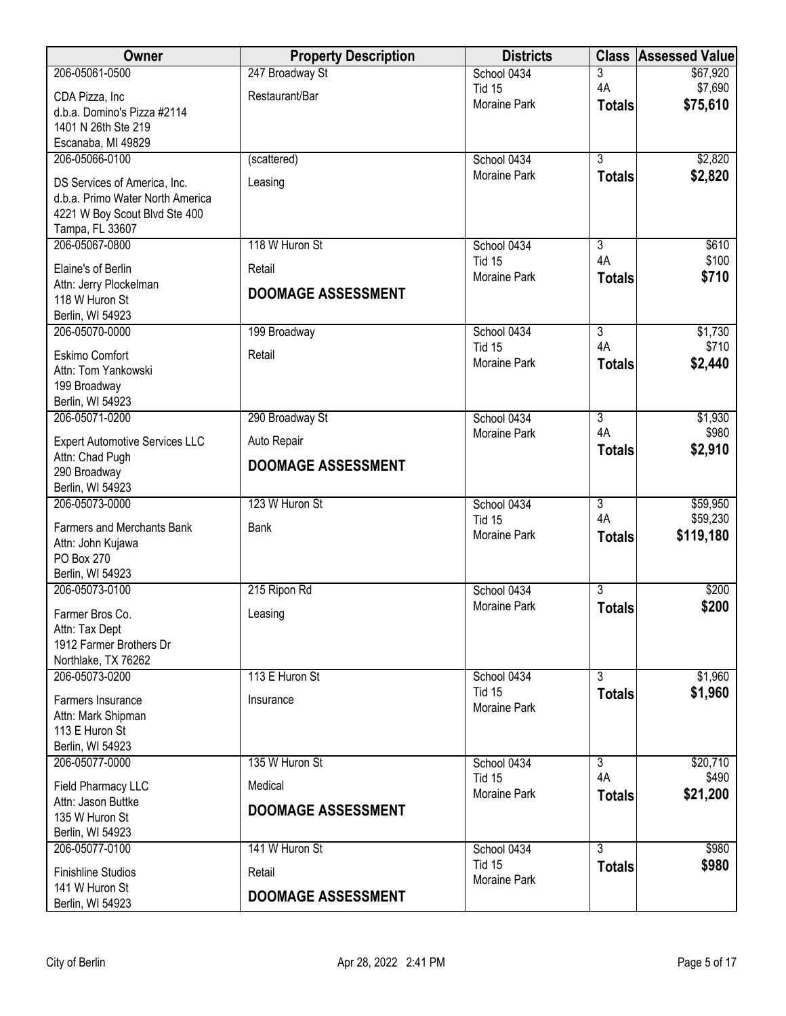| Owner                                            | <b>Property Description</b> | <b>Districts</b>                   | <b>Class</b>                    | <b>Assessed Value</b> |
|--------------------------------------------------|-----------------------------|------------------------------------|---------------------------------|-----------------------|
| 206-05061-0500                                   | 247 Broadway St             | School 0434                        | 3                               | \$67,920              |
| CDA Pizza, Inc                                   | Restaurant/Bar              | <b>Tid 15</b>                      | 4A                              | \$7,690               |
| d.b.a. Domino's Pizza #2114                      |                             | <b>Moraine Park</b>                | <b>Totals</b>                   | \$75,610              |
| 1401 N 26th Ste 219                              |                             |                                    |                                 |                       |
| Escanaba, MI 49829                               |                             |                                    |                                 |                       |
| 206-05066-0100                                   | (scattered)                 | School 0434<br><b>Moraine Park</b> | $\overline{3}$                  | \$2,820<br>\$2,820    |
| DS Services of America, Inc.                     | Leasing                     |                                    | <b>Totals</b>                   |                       |
| d.b.a. Primo Water North America                 |                             |                                    |                                 |                       |
| 4221 W Boy Scout Blvd Ste 400<br>Tampa, FL 33607 |                             |                                    |                                 |                       |
| 206-05067-0800                                   | 118 W Huron St              | School 0434                        | $\overline{3}$                  | \$610                 |
| Elaine's of Berlin                               | Retail                      | <b>Tid 15</b>                      | 4A                              | \$100                 |
| Attn: Jerry Plockelman                           |                             | Moraine Park                       | <b>Totals</b>                   | \$710                 |
| 118 W Huron St                                   | <b>DOOMAGE ASSESSMENT</b>   |                                    |                                 |                       |
| Berlin, WI 54923                                 |                             |                                    |                                 |                       |
| 206-05070-0000                                   | 199 Broadway                | School 0434                        | $\overline{3}$                  | \$1,730               |
| Eskimo Comfort                                   | Retail                      | <b>Tid 15</b>                      | 4A                              | \$710                 |
| Attn: Tom Yankowski                              |                             | <b>Moraine Park</b>                | <b>Totals</b>                   | \$2,440               |
| 199 Broadway                                     |                             |                                    |                                 |                       |
| Berlin, WI 54923<br>206-05071-0200               | 290 Broadway St             | School 0434                        | $\overline{3}$                  | \$1,930               |
|                                                  |                             | <b>Moraine Park</b>                | 4A                              | \$980                 |
| <b>Expert Automotive Services LLC</b>            | Auto Repair                 |                                    | <b>Totals</b>                   | \$2,910               |
| Attn: Chad Pugh<br>290 Broadway                  | <b>DOOMAGE ASSESSMENT</b>   |                                    |                                 |                       |
| Berlin, WI 54923                                 |                             |                                    |                                 |                       |
| 206-05073-0000                                   | 123 W Huron St              | School 0434                        | $\overline{3}$                  | \$59,950              |
| <b>Farmers and Merchants Bank</b>                | <b>Bank</b>                 | <b>Tid 15</b>                      | 4A                              | \$59,230              |
| Attn: John Kujawa                                |                             | <b>Moraine Park</b>                | <b>Totals</b>                   | \$119,180             |
| PO Box 270                                       |                             |                                    |                                 |                       |
| Berlin, WI 54923                                 |                             |                                    |                                 |                       |
| 206-05073-0100                                   | 215 Ripon Rd                | School 0434<br><b>Moraine Park</b> | $\overline{3}$<br><b>Totals</b> | \$200<br>\$200        |
| Farmer Bros Co.                                  | Leasing                     |                                    |                                 |                       |
| Attn: Tax Dept<br>1912 Farmer Brothers Dr        |                             |                                    |                                 |                       |
| Northlake, TX 76262                              |                             |                                    |                                 |                       |
| 206-05073-0200                                   | 113 E Huron St              | School 0434                        | $\overline{3}$                  | \$1,960               |
| Farmers Insurance                                | Insurance                   | Tid 15                             | <b>Totals</b>                   | \$1,960               |
| Attn: Mark Shipman                               |                             | Moraine Park                       |                                 |                       |
| 113 E Huron St                                   |                             |                                    |                                 |                       |
| Berlin, WI 54923                                 |                             |                                    |                                 |                       |
| 206-05077-0000                                   | 135 W Huron St              | School 0434                        | 3<br>4A                         | \$20,710              |
| Field Pharmacy LLC                               | Medical                     | <b>Tid 15</b><br>Moraine Park      | <b>Totals</b>                   | \$490<br>\$21,200     |
| Attn: Jason Buttke                               | <b>DOOMAGE ASSESSMENT</b>   |                                    |                                 |                       |
| 135 W Huron St<br>Berlin, WI 54923               |                             |                                    |                                 |                       |
| 206-05077-0100                                   | 141 W Huron St              | School 0434                        | $\overline{3}$                  | \$980                 |
|                                                  |                             | <b>Tid 15</b>                      | <b>Totals</b>                   | \$980                 |
| <b>Finishline Studios</b><br>141 W Huron St      | Retail                      | <b>Moraine Park</b>                |                                 |                       |
| Berlin, WI 54923                                 | <b>DOOMAGE ASSESSMENT</b>   |                                    |                                 |                       |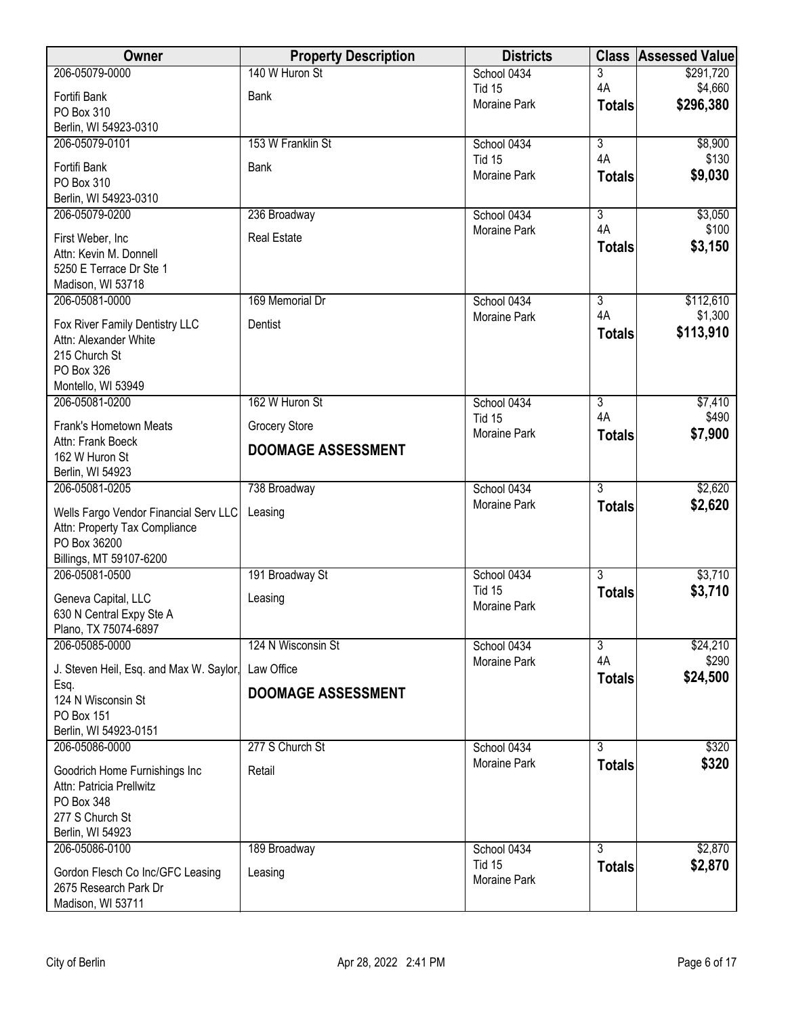| <b>Owner</b>                                     | <b>Property Description</b> | <b>Districts</b>             | <b>Class</b>              | <b>Assessed Value</b> |
|--------------------------------------------------|-----------------------------|------------------------------|---------------------------|-----------------------|
| 206-05079-0000                                   | 140 W Huron St              | School 0434                  | 3                         | \$291,720             |
| Fortifi Bank                                     | Bank                        | <b>Tid 15</b>                | 4A                        | \$4,660               |
| PO Box 310                                       |                             | <b>Moraine Park</b>          | <b>Totals</b>             | \$296,380             |
| Berlin, WI 54923-0310                            |                             |                              |                           |                       |
| 206-05079-0101                                   | 153 W Franklin St           | School 0434                  | $\overline{\overline{3}}$ | \$8,900               |
| Fortifi Bank                                     | <b>Bank</b>                 | <b>Tid 15</b>                | 4A                        | \$130                 |
| PO Box 310                                       |                             | Moraine Park                 | <b>Totals</b>             | \$9,030               |
| Berlin, WI 54923-0310                            |                             |                              |                           |                       |
| 206-05079-0200                                   | 236 Broadway                | School 0434                  | 3                         | \$3,050               |
| First Weber, Inc                                 | <b>Real Estate</b>          | <b>Moraine Park</b>          | 4A                        | \$100                 |
| Attn: Kevin M. Donnell                           |                             |                              | <b>Totals</b>             | \$3,150               |
| 5250 E Terrace Dr Ste 1                          |                             |                              |                           |                       |
| Madison, WI 53718                                |                             |                              |                           |                       |
| 206-05081-0000                                   | 169 Memorial Dr             | School 0434                  | $\overline{3}$            | \$112,610             |
| Fox River Family Dentistry LLC                   | Dentist                     | Moraine Park                 | 4A                        | \$1,300               |
| Attn: Alexander White                            |                             |                              | <b>Totals</b>             | \$113,910             |
| 215 Church St                                    |                             |                              |                           |                       |
| PO Box 326                                       |                             |                              |                           |                       |
| Montello, WI 53949                               | 162 W Huron St              |                              |                           |                       |
| 206-05081-0200                                   |                             | School 0434<br><b>Tid 15</b> | $\overline{3}$<br>4A      | \$7,410<br>\$490      |
| Frank's Hometown Meats                           | <b>Grocery Store</b>        | <b>Moraine Park</b>          | <b>Totals</b>             | \$7,900               |
| Attn: Frank Boeck                                | <b>DOOMAGE ASSESSMENT</b>   |                              |                           |                       |
| 162 W Huron St                                   |                             |                              |                           |                       |
| Berlin, WI 54923<br>206-05081-0205               | 738 Broadway                | School 0434                  | $\overline{3}$            | \$2,620               |
|                                                  |                             | <b>Moraine Park</b>          | <b>Totals</b>             | \$2,620               |
| Wells Fargo Vendor Financial Serv LLC            | Leasing                     |                              |                           |                       |
| Attn: Property Tax Compliance                    |                             |                              |                           |                       |
| PO Box 36200<br>Billings, MT 59107-6200          |                             |                              |                           |                       |
| 206-05081-0500                                   | 191 Broadway St             | School 0434                  | $\overline{3}$            | \$3,710               |
|                                                  |                             | <b>Tid 15</b>                | <b>Totals</b>             | \$3,710               |
| Geneva Capital, LLC                              | Leasing                     | <b>Moraine Park</b>          |                           |                       |
| 630 N Central Expy Ste A<br>Plano, TX 75074-6897 |                             |                              |                           |                       |
| 206-05085-0000                                   | 124 N Wisconsin St          | School 0434                  | $\overline{3}$            | \$24,210              |
|                                                  |                             | <b>Moraine Park</b>          | 4A                        | \$290                 |
| J. Steven Heil, Esq. and Max W. Saylor,          | Law Office                  |                              | <b>Totals</b>             | \$24,500              |
| Esq.<br>124 N Wisconsin St                       | <b>DOOMAGE ASSESSMENT</b>   |                              |                           |                       |
| PO Box 151                                       |                             |                              |                           |                       |
| Berlin, WI 54923-0151                            |                             |                              |                           |                       |
| 206-05086-0000                                   | 277 S Church St             | School 0434                  | $\overline{3}$            | \$320                 |
| Goodrich Home Furnishings Inc                    | Retail                      | Moraine Park                 | <b>Totals</b>             | \$320                 |
| Attn: Patricia Prellwitz                         |                             |                              |                           |                       |
| PO Box 348                                       |                             |                              |                           |                       |
| 277 S Church St                                  |                             |                              |                           |                       |
| Berlin, WI 54923                                 |                             |                              |                           |                       |
| 206-05086-0100                                   | 189 Broadway                | School 0434                  | $\overline{3}$            | \$2,870               |
| Gordon Flesch Co Inc/GFC Leasing                 | Leasing                     | <b>Tid 15</b>                | <b>Totals</b>             | \$2,870               |
| 2675 Research Park Dr                            |                             | <b>Moraine Park</b>          |                           |                       |
| Madison, WI 53711                                |                             |                              |                           |                       |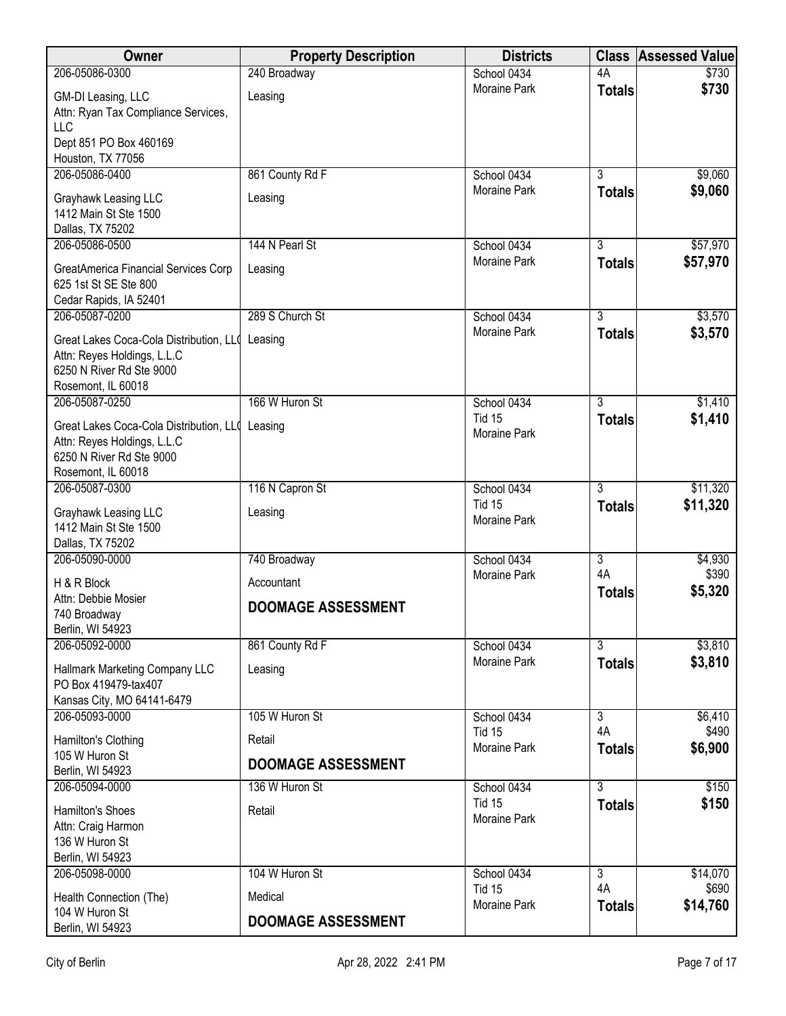| <b>Owner</b>                                                                                                             | <b>Property Description</b> | <b>Districts</b>                     | <b>Class</b>              | <b>Assessed Value</b> |
|--------------------------------------------------------------------------------------------------------------------------|-----------------------------|--------------------------------------|---------------------------|-----------------------|
| 206-05086-0300                                                                                                           | 240 Broadway                | School 0434                          | 4A                        | \$730                 |
| GM-DI Leasing, LLC<br>Attn: Ryan Tax Compliance Services,<br><b>LLC</b><br>Dept 851 PO Box 460169                        | Leasing                     | Moraine Park                         | <b>Totals</b>             | \$730                 |
| Houston, TX 77056                                                                                                        |                             |                                      |                           |                       |
| 206-05086-0400                                                                                                           | 861 County Rd F             | School 0434                          | $\overline{3}$            | \$9,060               |
| Grayhawk Leasing LLC<br>1412 Main St Ste 1500<br>Dallas, TX 75202                                                        | Leasing                     | Moraine Park                         | <b>Totals</b>             | \$9,060               |
| 206-05086-0500                                                                                                           | 144 N Pearl St              | School 0434                          | $\overline{3}$            | \$57,970              |
| GreatAmerica Financial Services Corp<br>625 1st St SE Ste 800<br>Cedar Rapids, IA 52401                                  | Leasing                     | Moraine Park                         | <b>Totals</b>             | \$57,970              |
| 206-05087-0200                                                                                                           | 289 S Church St             | School 0434                          | $\overline{3}$            | \$3,570               |
| Great Lakes Coca-Cola Distribution, LLO<br>Attn: Reyes Holdings, L.L.C<br>6250 N River Rd Ste 9000<br>Rosemont, IL 60018 | Leasing                     | <b>Moraine Park</b>                  | <b>Totals</b>             | \$3,570               |
| 206-05087-0250                                                                                                           | 166 W Huron St              | School 0434                          | $\overline{3}$            | \$1,410               |
| Great Lakes Coca-Cola Distribution, LLO<br>Attn: Reyes Holdings, L.L.C<br>6250 N River Rd Ste 9000<br>Rosemont, IL 60018 | Leasing                     | <b>Tid 15</b><br>Moraine Park        | <b>Totals</b>             | \$1,410               |
| 206-05087-0300                                                                                                           | 116 N Capron St             | School 0434                          | $\overline{3}$            | \$11,320              |
| Grayhawk Leasing LLC<br>1412 Main St Ste 1500<br>Dallas, TX 75202                                                        | Leasing                     | <b>Tid 15</b><br>Moraine Park        | <b>Totals</b>             | \$11,320              |
| 206-05090-0000                                                                                                           | 740 Broadway                | School 0434                          | $\overline{\overline{3}}$ | \$4,930               |
| H & R Block<br>Attn: Debbie Mosier                                                                                       | Accountant                  | Moraine Park                         | 4A<br><b>Totals</b>       | \$390<br>\$5,320      |
| 740 Broadway<br>Berlin, WI 54923                                                                                         | <b>DOOMAGE ASSESSMENT</b>   |                                      |                           |                       |
| 206-05092-0000                                                                                                           | 861 County Rd F             | School 0434                          | $\overline{3}$            | \$3,810               |
| Hallmark Marketing Company LLC<br>PO Box 419479-tax407<br>Kansas City, MO 64141-6479                                     | Leasing                     | Moraine Park                         | <b>Totals</b>             | \$3,810               |
| 206-05093-0000                                                                                                           | 105 W Huron St              | School 0434                          | 3                         | \$6,410               |
| Hamilton's Clothing                                                                                                      | Retail                      | <b>Tid 15</b><br><b>Moraine Park</b> | 4A<br><b>Totals</b>       | \$490<br>\$6,900      |
| 105 W Huron St<br>Berlin, WI 54923                                                                                       | <b>DOOMAGE ASSESSMENT</b>   |                                      |                           |                       |
| 206-05094-0000                                                                                                           | 136 W Huron St              | School 0434                          | $\overline{3}$            | \$150                 |
| Hamilton's Shoes<br>Attn: Craig Harmon<br>136 W Huron St<br>Berlin, WI 54923                                             | Retail                      | <b>Tid 15</b><br>Moraine Park        | <b>Totals</b>             | \$150                 |
| 206-05098-0000                                                                                                           | 104 W Huron St              | School 0434                          | 3                         | \$14,070              |
| Health Connection (The)<br>104 W Huron St                                                                                | Medical                     | <b>Tid 15</b><br>Moraine Park        | 4A<br><b>Totals</b>       | \$690<br>\$14,760     |
| Berlin, WI 54923                                                                                                         | <b>DOOMAGE ASSESSMENT</b>   |                                      |                           |                       |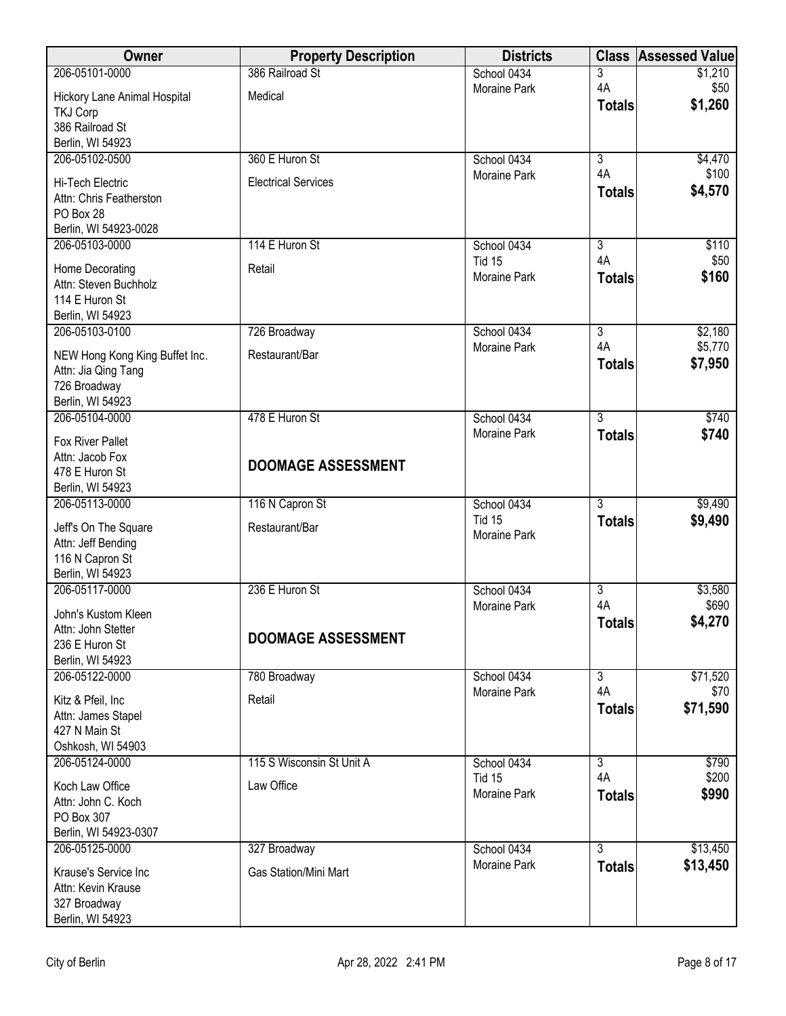| Owner                                      | <b>Property Description</b>  | <b>Districts</b>    | <b>Class</b>        | <b>Assessed Value</b> |
|--------------------------------------------|------------------------------|---------------------|---------------------|-----------------------|
| 206-05101-0000                             | 386 Railroad St              | School 0434         | 3                   | \$1,210               |
| Hickory Lane Animal Hospital               | Medical                      | <b>Moraine Park</b> | 4A<br><b>Totals</b> | \$50<br>\$1,260       |
| <b>TKJ Corp</b>                            |                              |                     |                     |                       |
| 386 Railroad St<br>Berlin, WI 54923        |                              |                     |                     |                       |
| 206-05102-0500                             | 360 E Huron St               | School 0434         | $\overline{3}$      | \$4,470               |
| Hi-Tech Electric                           | <b>Electrical Services</b>   | Moraine Park        | 4A                  | \$100                 |
| Attn: Chris Featherston                    |                              |                     | <b>Totals</b>       | \$4,570               |
| PO Box 28                                  |                              |                     |                     |                       |
| Berlin, WI 54923-0028<br>206-05103-0000    | 114 E Huron St               | School 0434         | $\overline{3}$      | \$110                 |
|                                            |                              | <b>Tid 15</b>       | 4A                  | \$50                  |
| Home Decorating<br>Attn: Steven Buchholz   | Retail                       | Moraine Park        | <b>Totals</b>       | \$160                 |
| 114 E Huron St                             |                              |                     |                     |                       |
| Berlin, WI 54923                           |                              |                     |                     |                       |
| 206-05103-0100                             | 726 Broadway                 | School 0434         | $\overline{3}$      | \$2,180               |
| NEW Hong Kong King Buffet Inc.             | Restaurant/Bar               | Moraine Park        | 4A<br><b>Totals</b> | \$5,770<br>\$7,950    |
| Attn: Jia Qing Tang                        |                              |                     |                     |                       |
| 726 Broadway<br>Berlin, WI 54923           |                              |                     |                     |                       |
| 206-05104-0000                             | 478 E Huron St               | School 0434         | $\overline{3}$      | \$740                 |
| Fox River Pallet                           |                              | <b>Moraine Park</b> | <b>Totals</b>       | \$740                 |
| Attn: Jacob Fox                            | <b>DOOMAGE ASSESSMENT</b>    |                     |                     |                       |
| 478 E Huron St                             |                              |                     |                     |                       |
| Berlin, WI 54923<br>206-05113-0000         | 116 N Capron St              | School 0434         | $\overline{3}$      | \$9,490               |
|                                            |                              | <b>Tid 15</b>       | <b>Totals</b>       | \$9,490               |
| Jeff's On The Square<br>Attn: Jeff Bending | Restaurant/Bar               | <b>Moraine Park</b> |                     |                       |
| 116 N Capron St                            |                              |                     |                     |                       |
| Berlin, WI 54923                           |                              |                     |                     |                       |
| 206-05117-0000                             | 236 E Huron St               | School 0434         | $\overline{3}$      | \$3,580               |
| John's Kustom Kleen                        |                              | <b>Moraine Park</b> | 4A<br><b>Totals</b> | \$690<br>\$4,270      |
| Attn: John Stetter                         | <b>DOOMAGE ASSESSMENT</b>    |                     |                     |                       |
| 236 E Huron St<br>Berlin, WI 54923         |                              |                     |                     |                       |
| 206-05122-0000                             | 780 Broadway                 | School 0434         | $\overline{3}$      | \$71,520              |
| Kitz & Pfeil, Inc                          | Retail                       | <b>Moraine Park</b> | 4A                  | \$70                  |
| Attn: James Stapel                         |                              |                     | <b>Totals</b>       | \$71,590              |
| 427 N Main St                              |                              |                     |                     |                       |
| Oshkosh, WI 54903<br>206-05124-0000        | 115 S Wisconsin St Unit A    | School 0434         | $\overline{3}$      | \$790                 |
|                                            |                              | Tid 15              | 4A                  | \$200                 |
| Koch Law Office<br>Attn: John C. Koch      | Law Office                   | Moraine Park        | <b>Totals</b>       | \$990                 |
| PO Box 307                                 |                              |                     |                     |                       |
| Berlin, WI 54923-0307                      |                              |                     |                     |                       |
| 206-05125-0000                             | 327 Broadway                 | School 0434         | $\overline{3}$      | \$13,450              |
| Krause's Service Inc                       | <b>Gas Station/Mini Mart</b> | <b>Moraine Park</b> | <b>Totals</b>       | \$13,450              |
| Attn: Kevin Krause                         |                              |                     |                     |                       |
| 327 Broadway<br>Berlin, WI 54923           |                              |                     |                     |                       |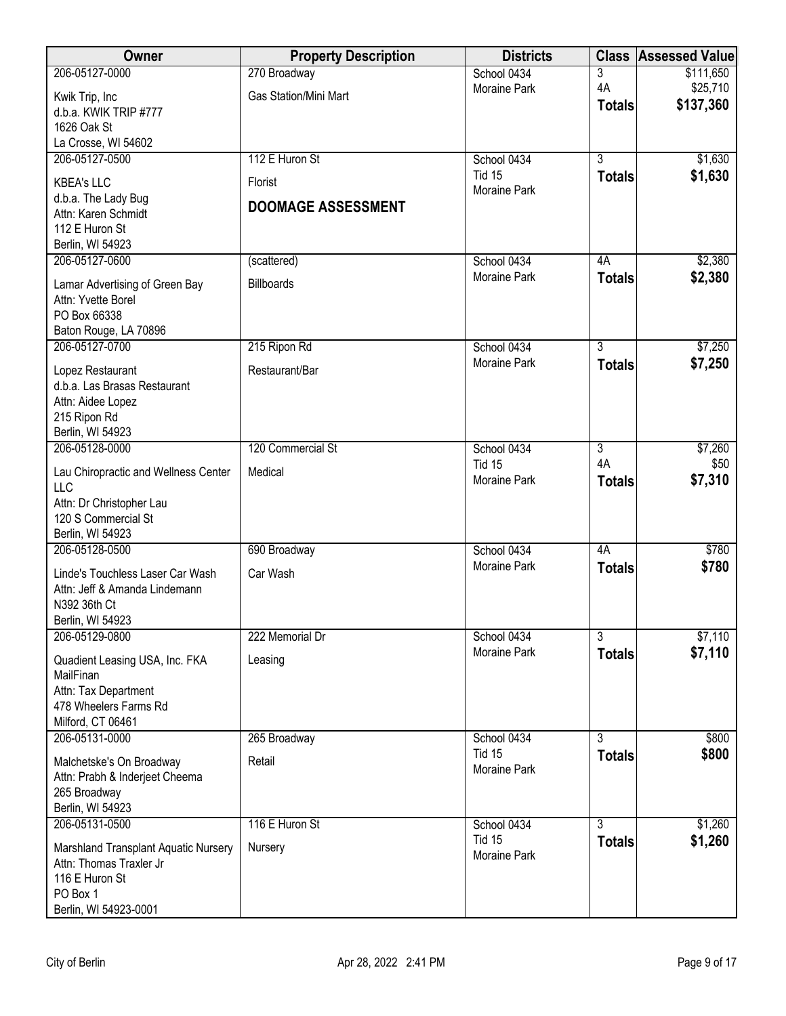| Owner                                                             | <b>Property Description</b>  | <b>Districts</b>                   |                     | <b>Class Assessed Value</b> |
|-------------------------------------------------------------------|------------------------------|------------------------------------|---------------------|-----------------------------|
| 206-05127-0000                                                    | 270 Broadway                 | School 0434                        | 3                   | \$111,650                   |
| Kwik Trip, Inc                                                    | <b>Gas Station/Mini Mart</b> | <b>Moraine Park</b>                | 4A<br><b>Totals</b> | \$25,710<br>\$137,360       |
| d.b.a. KWIK TRIP #777                                             |                              |                                    |                     |                             |
| 1626 Oak St<br>La Crosse, WI 54602                                |                              |                                    |                     |                             |
| 206-05127-0500                                                    | 112 E Huron St               | School 0434                        | $\overline{3}$      | \$1,630                     |
| <b>KBEA's LLC</b>                                                 | Florist                      | Tid 15                             | <b>Totals</b>       | \$1,630                     |
| d.b.a. The Lady Bug                                               |                              | <b>Moraine Park</b>                |                     |                             |
| Attn: Karen Schmidt                                               | <b>DOOMAGE ASSESSMENT</b>    |                                    |                     |                             |
| 112 E Huron St<br>Berlin, WI 54923                                |                              |                                    |                     |                             |
| 206-05127-0600                                                    | (scattered)                  | School 0434                        | 4A                  | \$2,380                     |
| Lamar Advertising of Green Bay                                    | <b>Billboards</b>            | Moraine Park                       | <b>Totals</b>       | \$2,380                     |
| Attn: Yvette Borel                                                |                              |                                    |                     |                             |
| PO Box 66338                                                      |                              |                                    |                     |                             |
| Baton Rouge, LA 70896<br>206-05127-0700                           |                              |                                    | $\overline{3}$      |                             |
|                                                                   | 215 Ripon Rd                 | School 0434<br>Moraine Park        | <b>Totals</b>       | \$7,250<br>\$7,250          |
| Lopez Restaurant<br>d.b.a. Las Brasas Restaurant                  | Restaurant/Bar               |                                    |                     |                             |
| Attn: Aidee Lopez                                                 |                              |                                    |                     |                             |
| 215 Ripon Rd                                                      |                              |                                    |                     |                             |
| Berlin, WI 54923<br>206-05128-0000                                | 120 Commercial St            | School 0434                        | 3                   | \$7,260                     |
|                                                                   |                              | <b>Tid 15</b>                      | 4A                  | \$50                        |
| Lau Chiropractic and Wellness Center<br><b>LLC</b>                | Medical                      | <b>Moraine Park</b>                | <b>Totals</b>       | \$7,310                     |
| Attn: Dr Christopher Lau                                          |                              |                                    |                     |                             |
| 120 S Commercial St                                               |                              |                                    |                     |                             |
| Berlin, WI 54923<br>206-05128-0500                                | 690 Broadway                 | School 0434                        | 4A                  | \$780                       |
|                                                                   |                              | <b>Moraine Park</b>                | <b>Totals</b>       | \$780                       |
| Linde's Touchless Laser Car Wash<br>Attn: Jeff & Amanda Lindemann | Car Wash                     |                                    |                     |                             |
| N392 36th Ct                                                      |                              |                                    |                     |                             |
| Berlin, WI 54923                                                  |                              |                                    |                     |                             |
| 206-05129-0800                                                    | 222 Memorial Dr              | School 0434<br><b>Moraine Park</b> | 3                   | \$7,110                     |
| Quadient Leasing USA, Inc. FKA                                    | Leasing                      |                                    | <b>Totals</b>       | \$7,110                     |
| MailFinan<br>Attn: Tax Department                                 |                              |                                    |                     |                             |
| 478 Wheelers Farms Rd                                             |                              |                                    |                     |                             |
| Milford, CT 06461                                                 |                              |                                    |                     |                             |
| 206-05131-0000                                                    | 265 Broadway                 | School 0434<br>Tid 15              | $\overline{3}$      | \$800<br>\$800              |
| Malchetske's On Broadway                                          | Retail                       | Moraine Park                       | <b>Totals</b>       |                             |
| Attn: Prabh & Inderjeet Cheema<br>265 Broadway                    |                              |                                    |                     |                             |
| Berlin, WI 54923                                                  |                              |                                    |                     |                             |
| 206-05131-0500                                                    | 116 E Huron St               | School 0434                        | $\overline{3}$      | \$1,260                     |
| Marshland Transplant Aquatic Nursery                              | Nursery                      | <b>Tid 15</b><br>Moraine Park      | <b>Totals</b>       | \$1,260                     |
| Attn: Thomas Traxler Jr                                           |                              |                                    |                     |                             |
| 116 E Huron St<br>PO Box 1                                        |                              |                                    |                     |                             |
| Berlin, WI 54923-0001                                             |                              |                                    |                     |                             |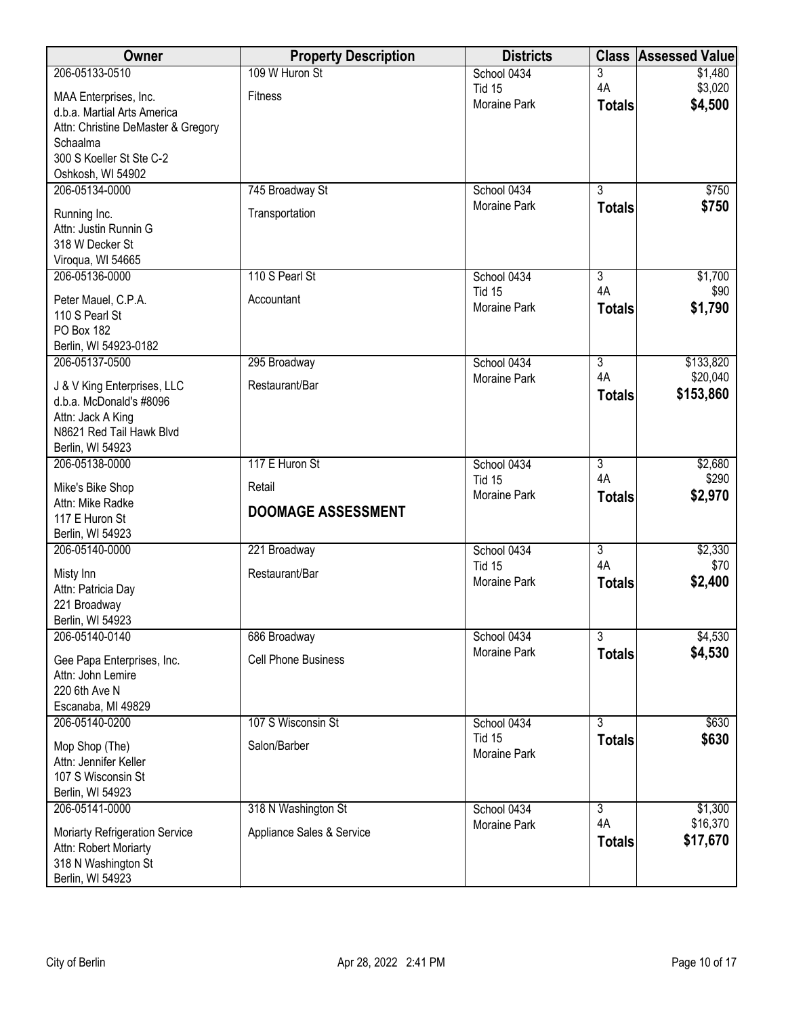| Owner                                                            | <b>Property Description</b> | <b>Districts</b>             | <b>Class</b>         | <b>Assessed Value</b> |
|------------------------------------------------------------------|-----------------------------|------------------------------|----------------------|-----------------------|
| 206-05133-0510                                                   | 109 W Huron St              | School 0434                  | 3                    | \$1,480               |
| MAA Enterprises, Inc.                                            | <b>Fitness</b>              | <b>Tid 15</b>                | 4A                   | \$3,020               |
| d.b.a. Martial Arts America                                      |                             | Moraine Park                 | <b>Totals</b>        | \$4,500               |
| Attn: Christine DeMaster & Gregory                               |                             |                              |                      |                       |
| Schaalma<br>300 S Koeller St Ste C-2                             |                             |                              |                      |                       |
| Oshkosh, WI 54902                                                |                             |                              |                      |                       |
| 206-05134-0000                                                   | 745 Broadway St             | School 0434                  | $\overline{3}$       | \$750                 |
| Running Inc.                                                     | Transportation              | Moraine Park                 | <b>Totals</b>        | \$750                 |
| Attn: Justin Runnin G                                            |                             |                              |                      |                       |
| 318 W Decker St                                                  |                             |                              |                      |                       |
| Viroqua, WI 54665                                                |                             |                              |                      |                       |
| 206-05136-0000                                                   | 110 S Pearl St              | School 0434<br><b>Tid 15</b> | $\overline{3}$<br>4A | \$1,700<br>\$90       |
| Peter Mauel, C.P.A.                                              | Accountant                  | Moraine Park                 | <b>Totals</b>        | \$1,790               |
| 110 S Pearl St                                                   |                             |                              |                      |                       |
| <b>PO Box 182</b><br>Berlin, WI 54923-0182                       |                             |                              |                      |                       |
| 206-05137-0500                                                   | 295 Broadway                | School 0434                  | $\overline{3}$       | \$133,820             |
| J & V King Enterprises, LLC                                      | Restaurant/Bar              | Moraine Park                 | 4A                   | \$20,040              |
| d.b.a. McDonald's #8096                                          |                             |                              | <b>Totals</b>        | \$153,860             |
| Attn: Jack A King                                                |                             |                              |                      |                       |
| N8621 Red Tail Hawk Blvd                                         |                             |                              |                      |                       |
| Berlin, WI 54923                                                 |                             |                              |                      |                       |
| 206-05138-0000                                                   | 117 E Huron St              | School 0434<br><b>Tid 15</b> | $\overline{3}$<br>4A | \$2,680<br>\$290      |
| Mike's Bike Shop                                                 | Retail                      | Moraine Park                 | <b>Totals</b>        | \$2,970               |
| Attn: Mike Radke<br>117 E Huron St                               | <b>DOOMAGE ASSESSMENT</b>   |                              |                      |                       |
| Berlin, WI 54923                                                 |                             |                              |                      |                       |
| 206-05140-0000                                                   | 221 Broadway                | School 0434                  | $\overline{3}$       | \$2,330               |
| Misty Inn                                                        | Restaurant/Bar              | <b>Tid 15</b>                | 4A                   | \$70                  |
| Attn: Patricia Day                                               |                             | Moraine Park                 | <b>Totals</b>        | \$2,400               |
| 221 Broadway                                                     |                             |                              |                      |                       |
| Berlin, WI 54923                                                 |                             |                              |                      |                       |
| 206-05140-0140                                                   | 686 Broadway                | School 0434<br>Moraine Park  | 3                    | \$4,530<br>\$4,530    |
| Gee Papa Enterprises, Inc.                                       | <b>Cell Phone Business</b>  |                              | <b>Totals</b>        |                       |
| Attn: John Lemire<br>220 6th Ave N                               |                             |                              |                      |                       |
| Escanaba, MI 49829                                               |                             |                              |                      |                       |
| 206-05140-0200                                                   | 107 S Wisconsin St          | School 0434                  | $\overline{3}$       | \$630                 |
| Mop Shop (The)                                                   | Salon/Barber                | <b>Tid 15</b>                | <b>Totals</b>        | \$630                 |
| Attn: Jennifer Keller                                            |                             | Moraine Park                 |                      |                       |
| 107 S Wisconsin St                                               |                             |                              |                      |                       |
| Berlin, WI 54923                                                 |                             |                              |                      |                       |
| 206-05141-0000                                                   | 318 N Washington St         | School 0434<br>Moraine Park  | 3<br>4A              | \$1,300<br>\$16,370   |
| Moriarty Refrigeration Service                                   | Appliance Sales & Service   |                              | <b>Totals</b>        | \$17,670              |
|                                                                  |                             |                              |                      |                       |
|                                                                  |                             |                              |                      |                       |
| Attn: Robert Moriarty<br>318 N Washington St<br>Berlin, WI 54923 |                             |                              |                      |                       |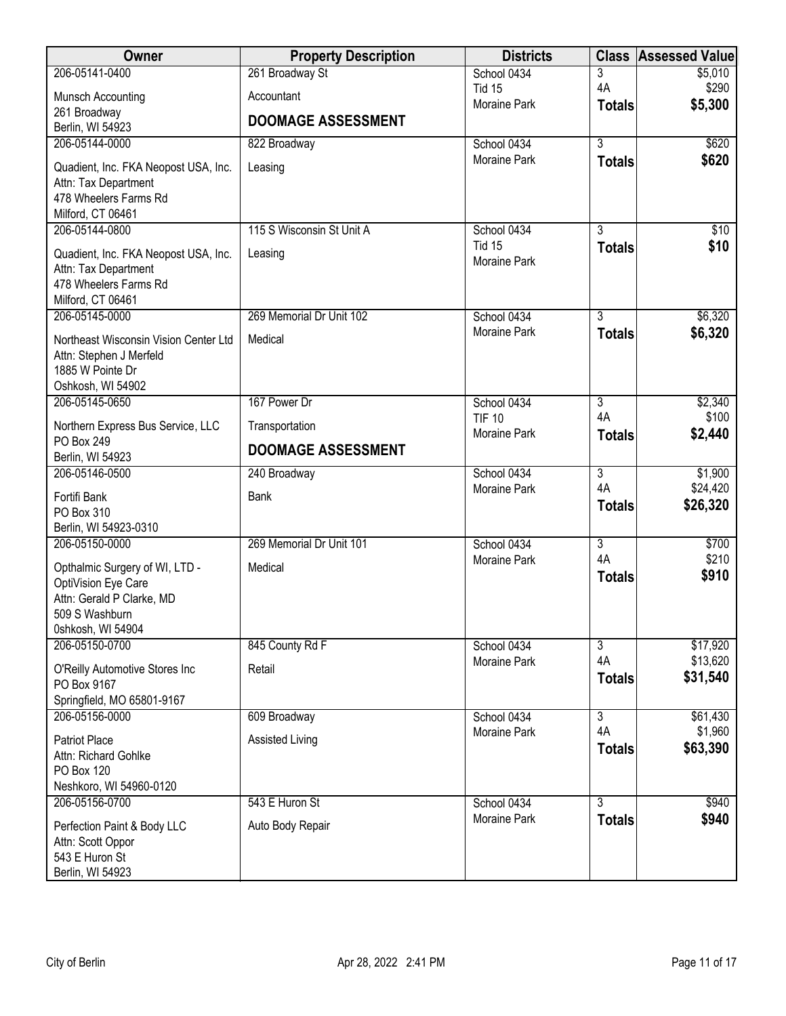| Owner                                            | <b>Property Description</b> | <b>Districts</b>                   |                      | <b>Class Assessed Value</b> |
|--------------------------------------------------|-----------------------------|------------------------------------|----------------------|-----------------------------|
| 206-05141-0400                                   | 261 Broadway St             | School 0434                        | 3                    | \$5,010                     |
| Munsch Accounting                                | Accountant                  | <b>Tid 15</b><br>Moraine Park      | 4A                   | \$290<br>\$5,300            |
| 261 Broadway                                     | <b>DOOMAGE ASSESSMENT</b>   |                                    | <b>Totals</b>        |                             |
| Berlin, WI 54923                                 |                             |                                    |                      |                             |
| 206-05144-0000                                   | 822 Broadway                | School 0434<br>Moraine Park        | $\overline{3}$       | \$620                       |
| Quadient, Inc. FKA Neopost USA, Inc.             | Leasing                     |                                    | <b>Totals</b>        | \$620                       |
| Attn: Tax Department                             |                             |                                    |                      |                             |
| 478 Wheelers Farms Rd<br>Milford, CT 06461       |                             |                                    |                      |                             |
| 206-05144-0800                                   | 115 S Wisconsin St Unit A   | School 0434                        | $\overline{3}$       | \$10                        |
|                                                  |                             | <b>Tid 15</b>                      | <b>Totals</b>        | \$10                        |
| Quadient, Inc. FKA Neopost USA, Inc.             | Leasing                     | Moraine Park                       |                      |                             |
| Attn: Tax Department<br>478 Wheelers Farms Rd    |                             |                                    |                      |                             |
| Milford, CT 06461                                |                             |                                    |                      |                             |
| 206-05145-0000                                   | 269 Memorial Dr Unit 102    | School 0434                        | $\overline{3}$       | \$6,320                     |
| Northeast Wisconsin Vision Center Ltd            | Medical                     | Moraine Park                       | <b>Totals</b>        | \$6,320                     |
| Attn: Stephen J Merfeld                          |                             |                                    |                      |                             |
| 1885 W Pointe Dr                                 |                             |                                    |                      |                             |
| Oshkosh, WI 54902                                |                             |                                    |                      |                             |
| 206-05145-0650                                   | 167 Power Dr                | School 0434                        | $\overline{3}$       | \$2,340                     |
| Northern Express Bus Service, LLC                | Transportation              | <b>TIF 10</b><br>Moraine Park      | 4A<br><b>Totals</b>  | \$100<br>\$2,440            |
| PO Box 249<br>Berlin, WI 54923                   | <b>DOOMAGE ASSESSMENT</b>   |                                    |                      |                             |
| 206-05146-0500                                   | 240 Broadway                | School 0434                        | $\overline{3}$       | \$1,900                     |
|                                                  |                             | Moraine Park                       | 4A                   | \$24,420                    |
| Fortifi Bank<br>PO Box 310                       | Bank                        |                                    | <b>Totals</b>        | \$26,320                    |
| Berlin, WI 54923-0310                            |                             |                                    |                      |                             |
| 206-05150-0000                                   | 269 Memorial Dr Unit 101    | School 0434                        | $\overline{3}$       | \$700                       |
| Opthalmic Surgery of WI, LTD -                   | Medical                     | Moraine Park                       | 4A                   | \$210                       |
| OptiVision Eye Care                              |                             |                                    | <b>Totals</b>        | \$910                       |
| Attn: Gerald P Clarke, MD                        |                             |                                    |                      |                             |
| 509 S Washburn                                   |                             |                                    |                      |                             |
| 0shkosh, WI 54904                                |                             |                                    |                      |                             |
| 206-05150-0700                                   | 845 County Rd F             | School 0434                        | $\overline{3}$<br>4A | \$17,920                    |
| O'Reilly Automotive Stores Inc                   | Retail                      | Moraine Park                       | <b>Totals</b>        | \$13,620<br>\$31,540        |
| PO Box 9167                                      |                             |                                    |                      |                             |
| Springfield, MO 65801-9167                       |                             |                                    |                      |                             |
| 206-05156-0000                                   | 609 Broadway                | School 0434<br><b>Moraine Park</b> | $\overline{3}$<br>4A | \$61,430<br>\$1,960         |
| Patriot Place                                    | <b>Assisted Living</b>      |                                    | <b>Totals</b>        | \$63,390                    |
| Attn: Richard Gohlke                             |                             |                                    |                      |                             |
| PO Box 120<br>Neshkoro, WI 54960-0120            |                             |                                    |                      |                             |
| 206-05156-0700                                   | 543 E Huron St              | School 0434                        | $\overline{3}$       | \$940                       |
|                                                  |                             | Moraine Park                       | <b>Totals</b>        | \$940                       |
| Perfection Paint & Body LLC<br>Attn: Scott Oppor | Auto Body Repair            |                                    |                      |                             |
| 543 E Huron St                                   |                             |                                    |                      |                             |
| Berlin, WI 54923                                 |                             |                                    |                      |                             |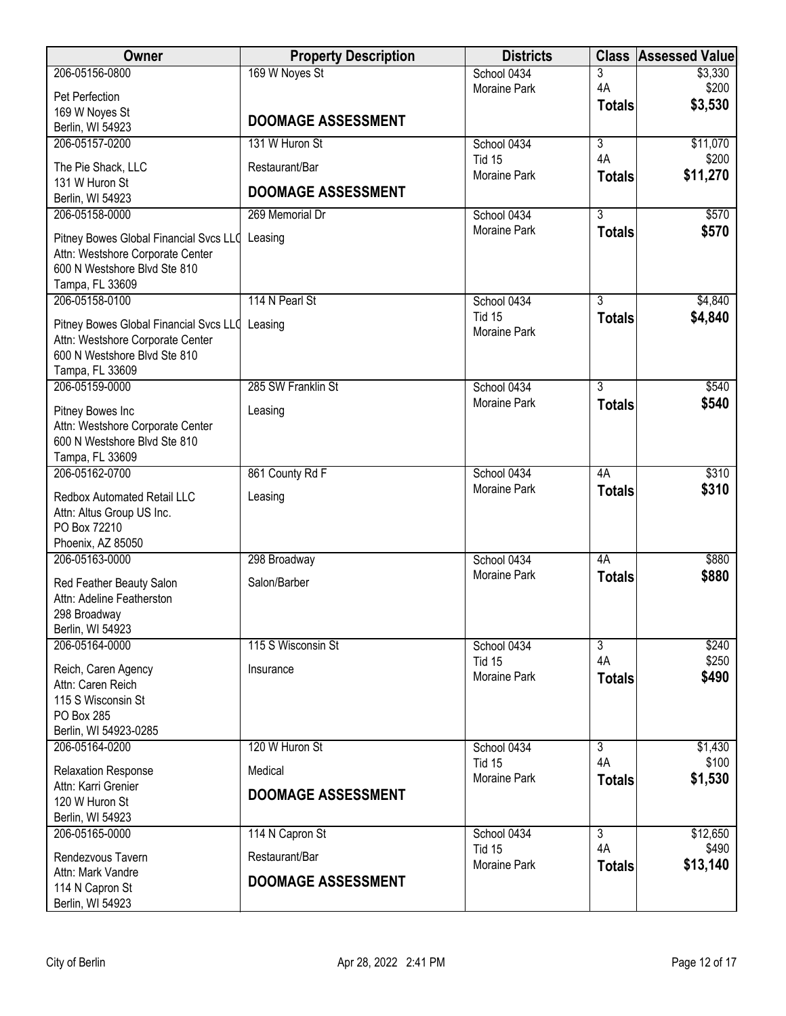| Owner                                                            | <b>Property Description</b> | <b>Districts</b>                   | <b>Class</b>         | <b>Assessed Value</b> |
|------------------------------------------------------------------|-----------------------------|------------------------------------|----------------------|-----------------------|
| 206-05156-0800                                                   | 169 W Noyes St              | School 0434                        | 3                    | \$3,330               |
| Pet Perfection                                                   |                             | <b>Moraine Park</b>                | 4A                   | \$200<br>\$3,530      |
| 169 W Noyes St                                                   | <b>DOOMAGE ASSESSMENT</b>   |                                    | <b>Totals</b>        |                       |
| Berlin, WI 54923                                                 |                             |                                    |                      |                       |
| 206-05157-0200                                                   | 131 W Huron St              | School 0434<br>Tid 15              | $\overline{3}$<br>4A | \$11,070<br>\$200     |
| The Pie Shack, LLC                                               | Restaurant/Bar              | Moraine Park                       | <b>Totals</b>        | \$11,270              |
| 131 W Huron St                                                   | <b>DOOMAGE ASSESSMENT</b>   |                                    |                      |                       |
| Berlin, WI 54923<br>206-05158-0000                               | 269 Memorial Dr             | School 0434                        | $\overline{3}$       | \$570                 |
|                                                                  |                             | <b>Moraine Park</b>                | <b>Totals</b>        | \$570                 |
| Pitney Bowes Global Financial Svcs LLQ                           | Leasing                     |                                    |                      |                       |
| Attn: Westshore Corporate Center<br>600 N Westshore Blvd Ste 810 |                             |                                    |                      |                       |
| Tampa, FL 33609                                                  |                             |                                    |                      |                       |
| 206-05158-0100                                                   | 114 N Pearl St              | School 0434                        | $\overline{3}$       | \$4,840               |
| Pitney Bowes Global Financial Svcs LLC Leasing                   |                             | <b>Tid 15</b>                      | <b>Totals</b>        | \$4,840               |
| Attn: Westshore Corporate Center                                 |                             | Moraine Park                       |                      |                       |
| 600 N Westshore Blvd Ste 810                                     |                             |                                    |                      |                       |
| Tampa, FL 33609                                                  |                             |                                    |                      |                       |
| 206-05159-0000                                                   | 285 SW Franklin St          | School 0434<br><b>Moraine Park</b> | $\overline{3}$       | \$540                 |
| Pitney Bowes Inc                                                 | Leasing                     |                                    | <b>Totals</b>        | \$540                 |
| Attn: Westshore Corporate Center                                 |                             |                                    |                      |                       |
| 600 N Westshore Blvd Ste 810<br>Tampa, FL 33609                  |                             |                                    |                      |                       |
| 206-05162-0700                                                   | 861 County Rd F             | School 0434                        | 4A                   | \$310                 |
| Redbox Automated Retail LLC                                      | Leasing                     | <b>Moraine Park</b>                | <b>Totals</b>        | \$310                 |
| Attn: Altus Group US Inc.                                        |                             |                                    |                      |                       |
| PO Box 72210                                                     |                             |                                    |                      |                       |
| Phoenix, AZ 85050                                                |                             |                                    |                      |                       |
| 206-05163-0000                                                   | 298 Broadway                | School 0434                        | 4A                   | \$880                 |
| Red Feather Beauty Salon                                         | Salon/Barber                | Moraine Park                       | <b>Totals</b>        | \$880                 |
| Attn: Adeline Featherston                                        |                             |                                    |                      |                       |
| 298 Broadway                                                     |                             |                                    |                      |                       |
| Berlin, WI 54923<br>206-05164-0000                               | 115 S Wisconsin St          | School 0434                        | $\overline{3}$       | \$240                 |
|                                                                  |                             | Tid 15                             | 4A                   | \$250                 |
| Reich, Caren Agency<br>Attn: Caren Reich                         | Insurance                   | <b>Moraine Park</b>                | <b>Totals</b>        | \$490                 |
| 115 S Wisconsin St                                               |                             |                                    |                      |                       |
| PO Box 285                                                       |                             |                                    |                      |                       |
| Berlin, WI 54923-0285                                            |                             |                                    |                      |                       |
| 206-05164-0200                                                   | 120 W Huron St              | School 0434<br><b>Tid 15</b>       | $\overline{3}$<br>4A | \$1,430<br>\$100      |
| <b>Relaxation Response</b>                                       | Medical                     | Moraine Park                       | <b>Totals</b>        | \$1,530               |
| Attn: Karri Grenier                                              | <b>DOOMAGE ASSESSMENT</b>   |                                    |                      |                       |
| 120 W Huron St<br>Berlin, WI 54923                               |                             |                                    |                      |                       |
| 206-05165-0000                                                   | 114 N Capron St             | School 0434                        | $\overline{3}$       | \$12,650              |
| Rendezvous Tavern                                                | Restaurant/Bar              | Tid 15                             | 4A                   | \$490                 |
| Attn: Mark Vandre                                                |                             | <b>Moraine Park</b>                | <b>Totals</b>        | \$13,140              |
| 114 N Capron St                                                  | <b>DOOMAGE ASSESSMENT</b>   |                                    |                      |                       |
| Berlin, WI 54923                                                 |                             |                                    |                      |                       |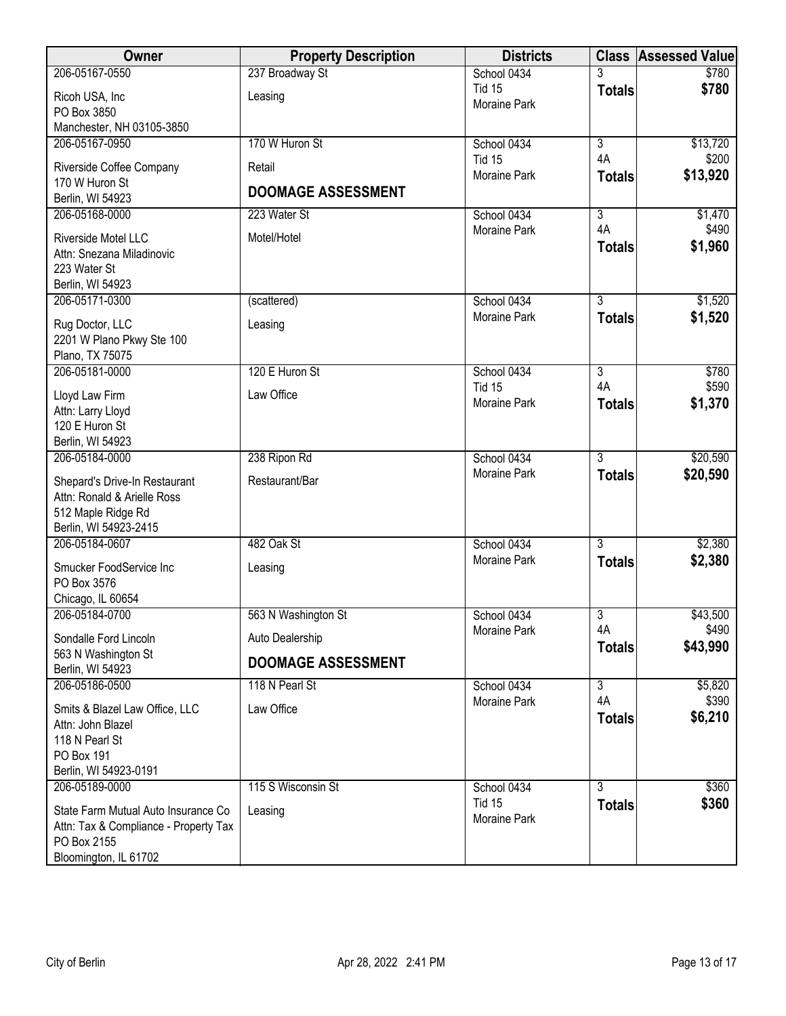| Owner                                                                                                                | <b>Property Description</b> | <b>Districts</b>              |                     | <b>Class Assessed Value</b> |
|----------------------------------------------------------------------------------------------------------------------|-----------------------------|-------------------------------|---------------------|-----------------------------|
| 206-05167-0550                                                                                                       | 237 Broadway St             | School 0434                   |                     | \$780                       |
| Ricoh USA, Inc<br>PO Box 3850                                                                                        | Leasing                     | <b>Tid 15</b><br>Moraine Park | <b>Totals</b>       | \$780                       |
| Manchester, NH 03105-3850                                                                                            |                             |                               |                     |                             |
| 206-05167-0950                                                                                                       | 170 W Huron St              | School 0434                   | $\overline{3}$      | \$13,720                    |
| Riverside Coffee Company<br>170 W Huron St                                                                           | Retail                      | <b>Tid 15</b><br>Moraine Park | 4A<br><b>Totals</b> | \$200<br>\$13,920           |
| Berlin, WI 54923                                                                                                     | <b>DOOMAGE ASSESSMENT</b>   |                               |                     |                             |
| 206-05168-0000                                                                                                       | 223 Water St                | School 0434                   | $\overline{3}$      | \$1,470                     |
| Riverside Motel LLC<br>Attn: Snezana Miladinovic<br>223 Water St<br>Berlin, WI 54923                                 | Motel/Hotel                 | Moraine Park                  | 4A<br><b>Totals</b> | \$490<br>\$1,960            |
| 206-05171-0300                                                                                                       | (scattered)                 | School 0434                   | $\overline{3}$      | \$1,520                     |
| Rug Doctor, LLC<br>2201 W Plano Pkwy Ste 100<br>Plano, TX 75075                                                      | Leasing                     | Moraine Park                  | <b>Totals</b>       | \$1,520                     |
| 206-05181-0000                                                                                                       | 120 E Huron St              | School 0434                   | $\overline{3}$      | \$780                       |
| Lloyd Law Firm<br>Attn: Larry Lloyd<br>120 E Huron St<br>Berlin, WI 54923                                            | Law Office                  | <b>Tid 15</b><br>Moraine Park | 4A<br><b>Totals</b> | \$590<br>\$1,370            |
| 206-05184-0000                                                                                                       | 238 Ripon Rd                | School 0434                   | $\overline{3}$      | \$20,590                    |
| Shepard's Drive-In Restaurant<br>Attn: Ronald & Arielle Ross<br>512 Maple Ridge Rd<br>Berlin, WI 54923-2415          | Restaurant/Bar              | Moraine Park                  | <b>Totals</b>       | \$20,590                    |
| 206-05184-0607                                                                                                       | 482 Oak St                  | School 0434                   | $\overline{3}$      | \$2,380                     |
| Smucker FoodService Inc<br>PO Box 3576<br>Chicago, IL 60654                                                          | Leasing                     | <b>Moraine Park</b>           | <b>Totals</b>       | \$2,380                     |
| 206-05184-0700                                                                                                       | 563 N Washington St         | School 0434                   | 3                   | \$43,500                    |
| Sondalle Ford Lincoln                                                                                                | Auto Dealership             | Moraine Park                  | 4A<br><b>Totals</b> | \$490<br>\$43,990           |
| 563 N Washington St<br>Berlin, WI 54923                                                                              | <b>DOOMAGE ASSESSMENT</b>   |                               |                     |                             |
| 206-05186-0500                                                                                                       | 118 N Pearl St              | School 0434                   | 3                   | \$5,820                     |
| Smits & Blazel Law Office, LLC<br>Attn: John Blazel<br>118 N Pearl St<br>PO Box 191<br>Berlin, WI 54923-0191         | Law Office                  | Moraine Park                  | 4A<br><b>Totals</b> | \$390<br>\$6,210            |
| 206-05189-0000                                                                                                       | 115 S Wisconsin St          | School 0434                   | $\overline{3}$      | \$360                       |
| State Farm Mutual Auto Insurance Co<br>Attn: Tax & Compliance - Property Tax<br>PO Box 2155<br>Bloomington, IL 61702 | Leasing                     | <b>Tid 15</b><br>Moraine Park | <b>Totals</b>       | \$360                       |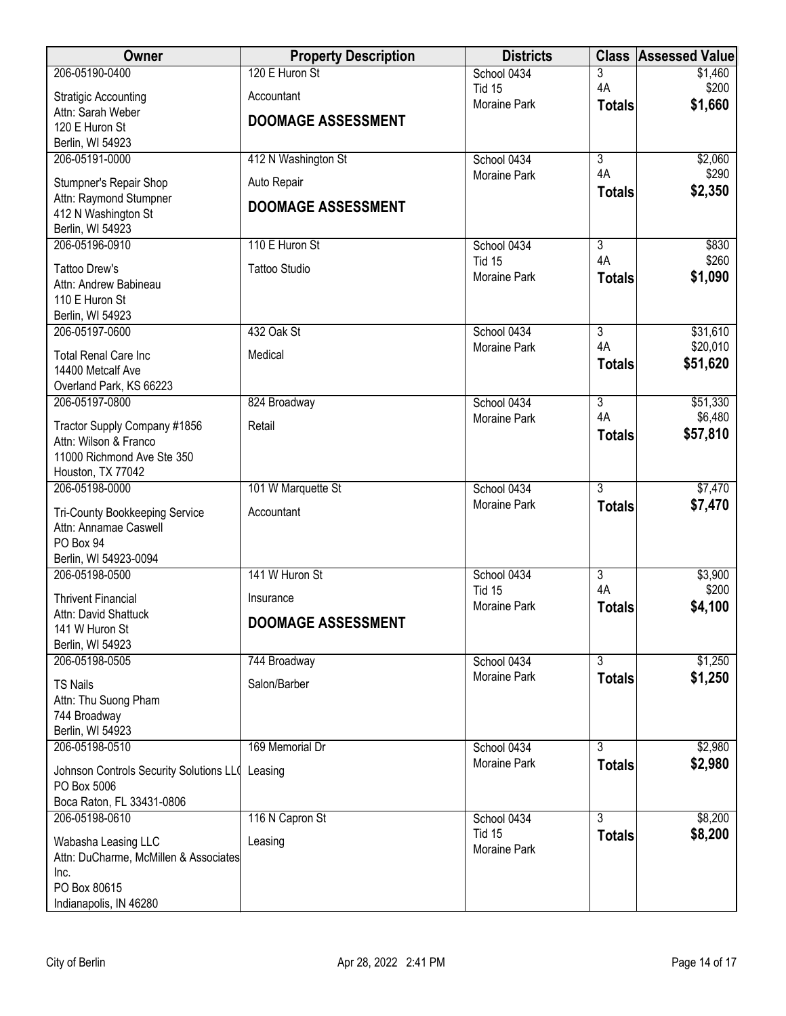| Owner                                                  | <b>Property Description</b> | <b>Districts</b>                     | <b>Class</b>                    | <b>Assessed Value</b> |
|--------------------------------------------------------|-----------------------------|--------------------------------------|---------------------------------|-----------------------|
| 206-05190-0400                                         | 120 E Huron St              | School 0434                          | 3                               | \$1,460               |
| <b>Stratigic Accounting</b>                            | Accountant                  | <b>Tid 15</b><br>Moraine Park        | 4A<br><b>Totals</b>             | \$200<br>\$1,660      |
| Attn: Sarah Weber                                      | <b>DOOMAGE ASSESSMENT</b>   |                                      |                                 |                       |
| 120 E Huron St<br>Berlin, WI 54923                     |                             |                                      |                                 |                       |
| 206-05191-0000                                         | 412 N Washington St         | School 0434                          | $\overline{3}$                  | \$2,060               |
| Stumpner's Repair Shop                                 | Auto Repair                 | Moraine Park                         | 4A                              | \$290                 |
| Attn: Raymond Stumpner                                 |                             |                                      | <b>Totals</b>                   | \$2,350               |
| 412 N Washington St                                    | <b>DOOMAGE ASSESSMENT</b>   |                                      |                                 |                       |
| Berlin, WI 54923<br>206-05196-0910                     | 110 E Huron St              | School 0434                          | 3                               | \$830                 |
|                                                        |                             | <b>Tid 15</b>                        | 4A                              | \$260                 |
| <b>Tattoo Drew's</b><br>Attn: Andrew Babineau          | <b>Tattoo Studio</b>        | Moraine Park                         | <b>Totals</b>                   | \$1,090               |
| 110 E Huron St                                         |                             |                                      |                                 |                       |
| Berlin, WI 54923                                       |                             |                                      |                                 |                       |
| 206-05197-0600                                         | 432 Oak St                  | School 0434                          | $\overline{3}$                  | \$31,610              |
| <b>Total Renal Care Inc</b>                            | Medical                     | Moraine Park                         | 4A<br><b>Totals</b>             | \$20,010<br>\$51,620  |
| 14400 Metcalf Ave                                      |                             |                                      |                                 |                       |
| Overland Park, KS 66223<br>206-05197-0800              | 824 Broadway                | School 0434                          | $\overline{3}$                  | \$51,330              |
|                                                        |                             | <b>Moraine Park</b>                  | 4A                              | \$6,480               |
| Tractor Supply Company #1856<br>Attn: Wilson & Franco  | Retail                      |                                      | <b>Totals</b>                   | \$57,810              |
| 11000 Richmond Ave Ste 350                             |                             |                                      |                                 |                       |
| Houston, TX 77042                                      |                             |                                      |                                 |                       |
| 206-05198-0000                                         | 101 W Marquette St          | School 0434<br>Moraine Park          | $\overline{3}$<br><b>Totals</b> | \$7,470<br>\$7,470    |
| <b>Tri-County Bookkeeping Service</b>                  | Accountant                  |                                      |                                 |                       |
| Attn: Annamae Caswell<br>PO Box 94                     |                             |                                      |                                 |                       |
| Berlin, WI 54923-0094                                  |                             |                                      |                                 |                       |
| 206-05198-0500                                         | 141 W Huron St              | School 0434                          | $\overline{3}$                  | \$3,900               |
| <b>Thrivent Financial</b>                              | Insurance                   | <b>Tid 15</b><br><b>Moraine Park</b> | 4A                              | \$200                 |
| Attn: David Shattuck                                   | DOOMAGE ASSESSMENT          |                                      | <b>Totals</b>                   | \$4,100               |
| 141 W Huron St<br>Berlin, WI 54923                     |                             |                                      |                                 |                       |
| 206-05198-0505                                         | 744 Broadway                | School 0434                          | $\overline{3}$                  | \$1,250               |
| <b>TS Nails</b>                                        | Salon/Barber                | Moraine Park                         | <b>Totals</b>                   | \$1,250               |
| Attn: Thu Suong Pham                                   |                             |                                      |                                 |                       |
| 744 Broadway                                           |                             |                                      |                                 |                       |
| Berlin, WI 54923<br>206-05198-0510                     | 169 Memorial Dr             | School 0434                          | $\overline{3}$                  | \$2,980               |
|                                                        |                             | Moraine Park                         | <b>Totals</b>                   | \$2,980               |
| Johnson Controls Security Solutions LLO<br>PO Box 5006 | Leasing                     |                                      |                                 |                       |
| Boca Raton, FL 33431-0806                              |                             |                                      |                                 |                       |
| 206-05198-0610                                         | 116 N Capron St             | School 0434                          | $\overline{3}$                  | \$8,200               |
| Wabasha Leasing LLC                                    | Leasing                     | <b>Tid 15</b>                        | <b>Totals</b>                   | \$8,200               |
| Attn: DuCharme, McMillen & Associates                  |                             | Moraine Park                         |                                 |                       |
| Inc.<br>PO Box 80615                                   |                             |                                      |                                 |                       |
| Indianapolis, IN 46280                                 |                             |                                      |                                 |                       |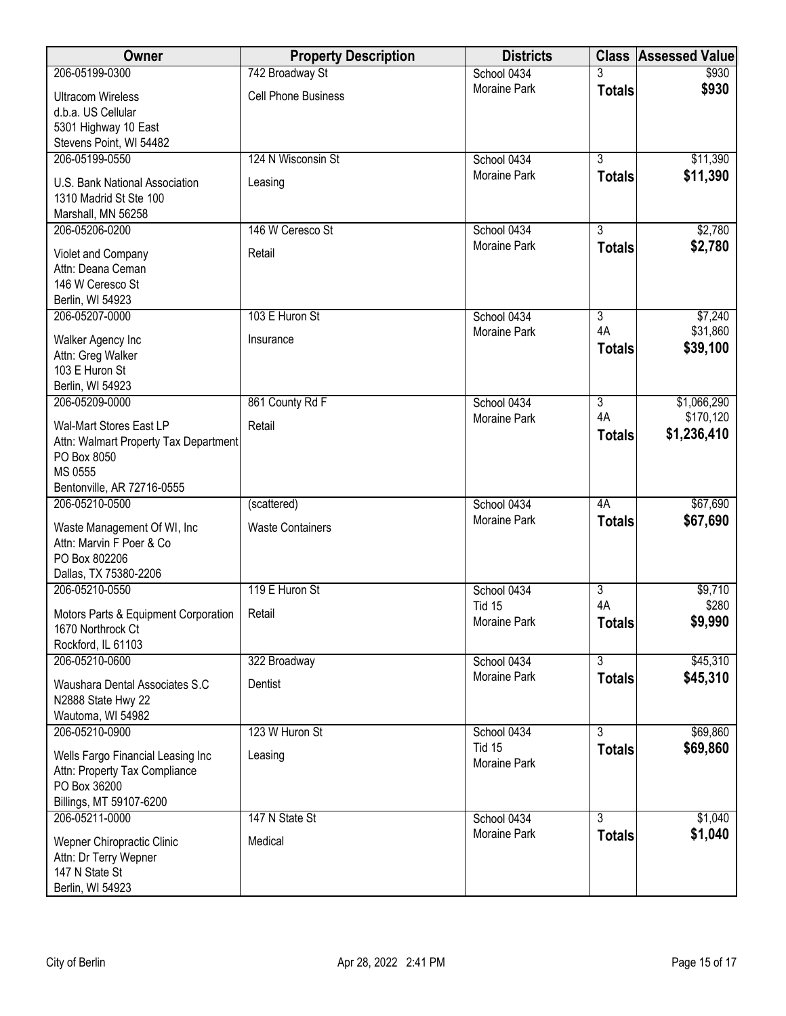| Owner                                                                                                                    | <b>Property Description</b> | <b>Districts</b>              |                           | <b>Class Assessed Value</b> |
|--------------------------------------------------------------------------------------------------------------------------|-----------------------------|-------------------------------|---------------------------|-----------------------------|
| 206-05199-0300                                                                                                           | 742 Broadway St             | School 0434                   |                           | \$930                       |
| <b>Ultracom Wireless</b><br>d.b.a. US Cellular                                                                           | <b>Cell Phone Business</b>  | <b>Moraine Park</b>           | <b>Totals</b>             | \$930                       |
| 5301 Highway 10 East<br>Stevens Point, WI 54482                                                                          |                             |                               |                           |                             |
| 206-05199-0550                                                                                                           | 124 N Wisconsin St          | School 0434                   | $\overline{3}$            | \$11,390                    |
| U.S. Bank National Association<br>1310 Madrid St Ste 100<br>Marshall, MN 56258                                           | Leasing                     | Moraine Park                  | <b>Totals</b>             | \$11,390                    |
| 206-05206-0200                                                                                                           | 146 W Ceresco St            | School 0434                   | $\overline{3}$            | \$2,780                     |
| Violet and Company<br>Attn: Deana Ceman<br>146 W Ceresco St<br>Berlin, WI 54923                                          | Retail                      | Moraine Park                  | <b>Totals</b>             | \$2,780                     |
| 206-05207-0000                                                                                                           | 103 E Huron St              | School 0434                   | $\overline{3}$            | \$7,240                     |
| Walker Agency Inc<br>Attn: Greg Walker<br>103 E Huron St<br>Berlin, WI 54923                                             | Insurance                   | Moraine Park                  | 4A<br><b>Totals</b>       | \$31,860<br>\$39,100        |
| 206-05209-0000                                                                                                           | 861 County Rd F             | School 0434                   | $\overline{3}$            | \$1,066,290                 |
| Wal-Mart Stores East LP<br>Attn: Walmart Property Tax Department<br>PO Box 8050<br>MS 0555<br>Bentonville, AR 72716-0555 | Retail                      | Moraine Park                  | 4A<br><b>Totals</b>       | \$170,120<br>\$1,236,410    |
| 206-05210-0500                                                                                                           | (scattered)                 | School 0434                   | 4A                        | \$67,690                    |
| Waste Management Of WI, Inc.<br>Attn: Marvin F Poer & Co<br>PO Box 802206<br>Dallas, TX 75380-2206                       | <b>Waste Containers</b>     | Moraine Park                  | <b>Totals</b>             | \$67,690                    |
| 206-05210-0550                                                                                                           | 119 E Huron St              | School 0434                   | $\overline{3}$            | \$9,710                     |
| Motors Parts & Equipment Corporation<br>1670 Northrock Ct<br>Rockford, IL 61103                                          | Retail                      | <b>Tid 15</b><br>Moraine Park | 4A<br><b>Totals</b>       | \$280<br>\$9,990            |
| 206-05210-0600                                                                                                           | 322 Broadway                | School 0434                   | $\overline{\overline{3}}$ | \$45,310                    |
| Waushara Dental Associates S.C<br>N2888 State Hwy 22<br>Wautoma, WI 54982                                                | Dentist                     | Moraine Park                  | <b>Totals</b>             | \$45,310                    |
| 206-05210-0900                                                                                                           | 123 W Huron St              | School 0434                   | $\overline{3}$            | \$69,860                    |
| Wells Fargo Financial Leasing Inc<br>Attn: Property Tax Compliance<br>PO Box 36200<br>Billings, MT 59107-6200            | Leasing                     | <b>Tid 15</b><br>Moraine Park | <b>Totals</b>             | \$69,860                    |
| 206-05211-0000                                                                                                           | 147 N State St              | School 0434                   | $\overline{3}$            | \$1,040                     |
| Wepner Chiropractic Clinic<br>Attn: Dr Terry Wepner<br>147 N State St<br>Berlin, WI 54923                                | Medical                     | Moraine Park                  | <b>Totals</b>             | \$1,040                     |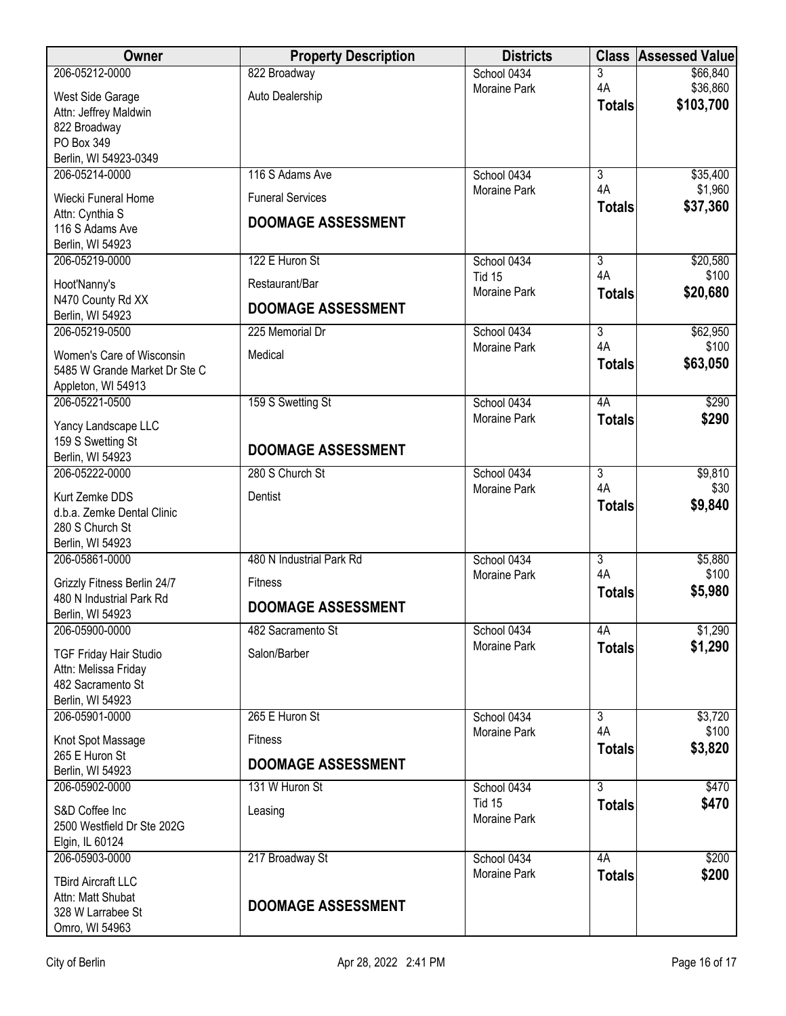| <b>Owner</b>                                            | <b>Property Description</b> | <b>Districts</b>                   | <b>Class</b>              | <b>Assessed Value</b> |
|---------------------------------------------------------|-----------------------------|------------------------------------|---------------------------|-----------------------|
| 206-05212-0000                                          | 822 Broadway                | School 0434                        | 3                         | \$66,840              |
| West Side Garage                                        | Auto Dealership             | <b>Moraine Park</b>                | 4A                        | \$36,860<br>\$103,700 |
| Attn: Jeffrey Maldwin                                   |                             |                                    | <b>Totals</b>             |                       |
| 822 Broadway<br>PO Box 349                              |                             |                                    |                           |                       |
| Berlin, WI 54923-0349                                   |                             |                                    |                           |                       |
| 206-05214-0000                                          | 116 S Adams Ave             | School 0434                        | $\overline{3}$            | \$35,400              |
|                                                         | <b>Funeral Services</b>     | Moraine Park                       | 4A                        | \$1,960               |
| Wiecki Funeral Home<br>Attn: Cynthia S                  |                             |                                    | <b>Totals</b>             | \$37,360              |
| 116 S Adams Ave                                         | <b>DOOMAGE ASSESSMENT</b>   |                                    |                           |                       |
| Berlin, WI 54923                                        |                             |                                    |                           |                       |
| 206-05219-0000                                          | 122 E Huron St              | School 0434                        | $\overline{\overline{3}}$ | \$20,580              |
| Hoot'Nanny's                                            | Restaurant/Bar              | <b>Tid 15</b><br>Moraine Park      | 4A                        | \$100<br>\$20,680     |
| N470 County Rd XX<br>Berlin, WI 54923                   | <b>DOOMAGE ASSESSMENT</b>   |                                    | <b>Totals</b>             |                       |
| 206-05219-0500                                          | 225 Memorial Dr             | School 0434                        | $\overline{3}$            | \$62,950              |
| Women's Care of Wisconsin                               | Medical                     | Moraine Park                       | 4A                        | \$100                 |
| 5485 W Grande Market Dr Ste C                           |                             |                                    | <b>Totals</b>             | \$63,050              |
| Appleton, WI 54913                                      |                             |                                    |                           |                       |
| 206-05221-0500                                          | 159 S Swetting St           | School 0434                        | 4A                        | \$290                 |
| Yancy Landscape LLC                                     |                             | Moraine Park                       | <b>Totals</b>             | \$290                 |
| 159 S Swetting St                                       |                             |                                    |                           |                       |
| Berlin, WI 54923                                        | <b>DOOMAGE ASSESSMENT</b>   |                                    |                           |                       |
| 206-05222-0000                                          | 280 S Church St             | School 0434                        | $\overline{3}$            | \$9,810               |
| Kurt Zemke DDS                                          | Dentist                     | <b>Moraine Park</b>                | 4A<br><b>Totals</b>       | \$30<br>\$9,840       |
| d.b.a. Zemke Dental Clinic                              |                             |                                    |                           |                       |
| 280 S Church St                                         |                             |                                    |                           |                       |
| Berlin, WI 54923<br>206-05861-0000                      | 480 N Industrial Park Rd    | School 0434                        | $\overline{3}$            | \$5,880               |
|                                                         |                             | Moraine Park                       | 4A                        | \$100                 |
| Grizzly Fitness Berlin 24/7<br>480 N Industrial Park Rd | Fitness                     |                                    | <b>Totals</b>             | \$5,980               |
| Berlin, WI 54923                                        | <b>DOOMAGE ASSESSMENT</b>   |                                    |                           |                       |
| 206-05900-0000                                          | 482 Sacramento St           | School 0434                        | 4A                        | \$1,290               |
| <b>TGF Friday Hair Studio</b>                           | Salon/Barber                | <b>Moraine Park</b>                | <b>Totals</b>             | \$1,290               |
| Attn: Melissa Friday                                    |                             |                                    |                           |                       |
| 482 Sacramento St                                       |                             |                                    |                           |                       |
| Berlin, WI 54923                                        |                             |                                    |                           |                       |
| 206-05901-0000                                          | 265 E Huron St              | School 0434<br>Moraine Park        | $\overline{3}$<br>4A      | \$3,720<br>\$100      |
| Knot Spot Massage<br>265 E Huron St                     | <b>Fitness</b>              |                                    | <b>Totals</b>             | \$3,820               |
| Berlin, WI 54923                                        | <b>DOOMAGE ASSESSMENT</b>   |                                    |                           |                       |
| 206-05902-0000                                          | 131 W Huron St              | School 0434                        | 3                         | \$470                 |
| S&D Coffee Inc                                          | Leasing                     | <b>Tid 15</b><br>Moraine Park      | <b>Totals</b>             | \$470                 |
| 2500 Westfield Dr Ste 202G                              |                             |                                    |                           |                       |
| Elgin, IL 60124                                         |                             |                                    |                           |                       |
| 206-05903-0000                                          | 217 Broadway St             | School 0434<br><b>Moraine Park</b> | 4A                        | \$200<br>\$200        |
| <b>TBird Aircraft LLC</b>                               |                             |                                    | <b>Totals</b>             |                       |
| Attn: Matt Shubat<br>328 W Larrabee St                  | <b>DOOMAGE ASSESSMENT</b>   |                                    |                           |                       |
| Omro, WI 54963                                          |                             |                                    |                           |                       |